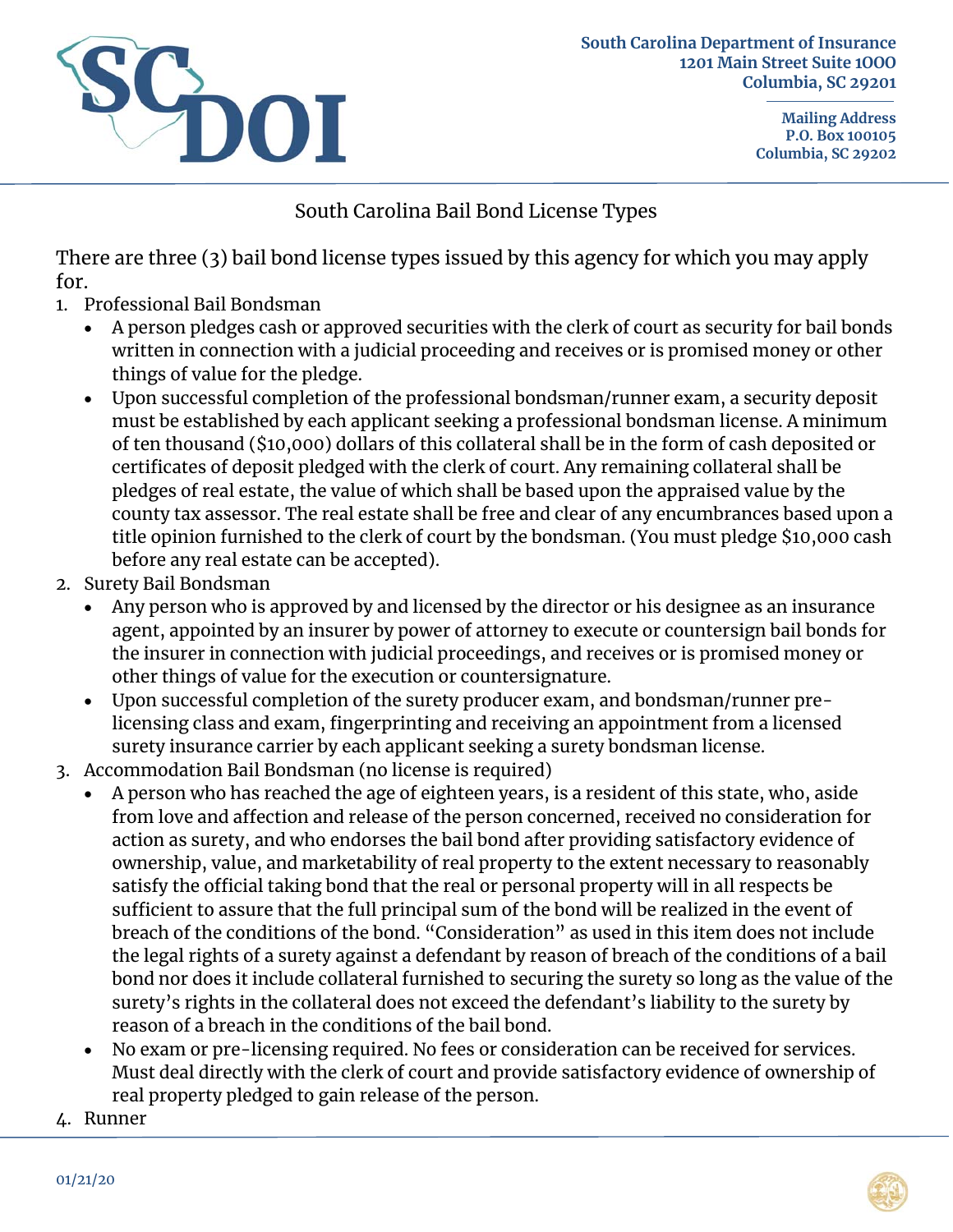

**South Carolina Department of Insurance 1201 Main Street Suite 1OOO Columbia, SC 29201** 

> **Mailing Address P.O. Box 100105 Columbia, SC 29202**

## South Carolina Bail Bond License Types

There are three (3) bail bond license types issued by this agency for which you may apply for.

- 1. Professional Bail Bondsman
	- A person pledges cash or approved securities with the clerk of court as security for bail bonds written in connection with a judicial proceeding and receives or is promised money or other things of value for the pledge.
	- Upon successful completion of the professional bondsman/runner exam, a security deposit must be established by each applicant seeking a professional bondsman license. A minimum of ten thousand (\$10,000) dollars of this collateral shall be in the form of cash deposited or certificates of deposit pledged with the clerk of court. Any remaining collateral shall be pledges of real estate, the value of which shall be based upon the appraised value by the county tax assessor. The real estate shall be free and clear of any encumbrances based upon a title opinion furnished to the clerk of court by the bondsman. (You must pledge \$10,000 cash before any real estate can be accepted).
- 2. Surety Bail Bondsman
	- Any person who is approved by and licensed by the director or his designee as an insurance agent, appointed by an insurer by power of attorney to execute or countersign bail bonds for the insurer in connection with judicial proceedings, and receives or is promised money or other things of value for the execution or countersignature.
	- Upon successful completion of the surety producer exam, and bondsman/runner prelicensing class and exam, fingerprinting and receiving an appointment from a licensed surety insurance carrier by each applicant seeking a surety bondsman license.
- 3. Accommodation Bail Bondsman (no license is required)
	- A person who has reached the age of eighteen years, is a resident of this state, who, aside from love and affection and release of the person concerned, received no consideration for action as surety, and who endorses the bail bond after providing satisfactory evidence of ownership, value, and marketability of real property to the extent necessary to reasonably satisfy the official taking bond that the real or personal property will in all respects be sufficient to assure that the full principal sum of the bond will be realized in the event of breach of the conditions of the bond. "Consideration" as used in this item does not include the legal rights of a surety against a defendant by reason of breach of the conditions of a bail bond nor does it include collateral furnished to securing the surety so long as the value of the surety's rights in the collateral does not exceed the defendant's liability to the surety by reason of a breach in the conditions of the bail bond.
	- No exam or pre-licensing required. No fees or consideration can be received for services. Must deal directly with the clerk of court and provide satisfactory evidence of ownership of real property pledged to gain release of the person.
- 4. Runner

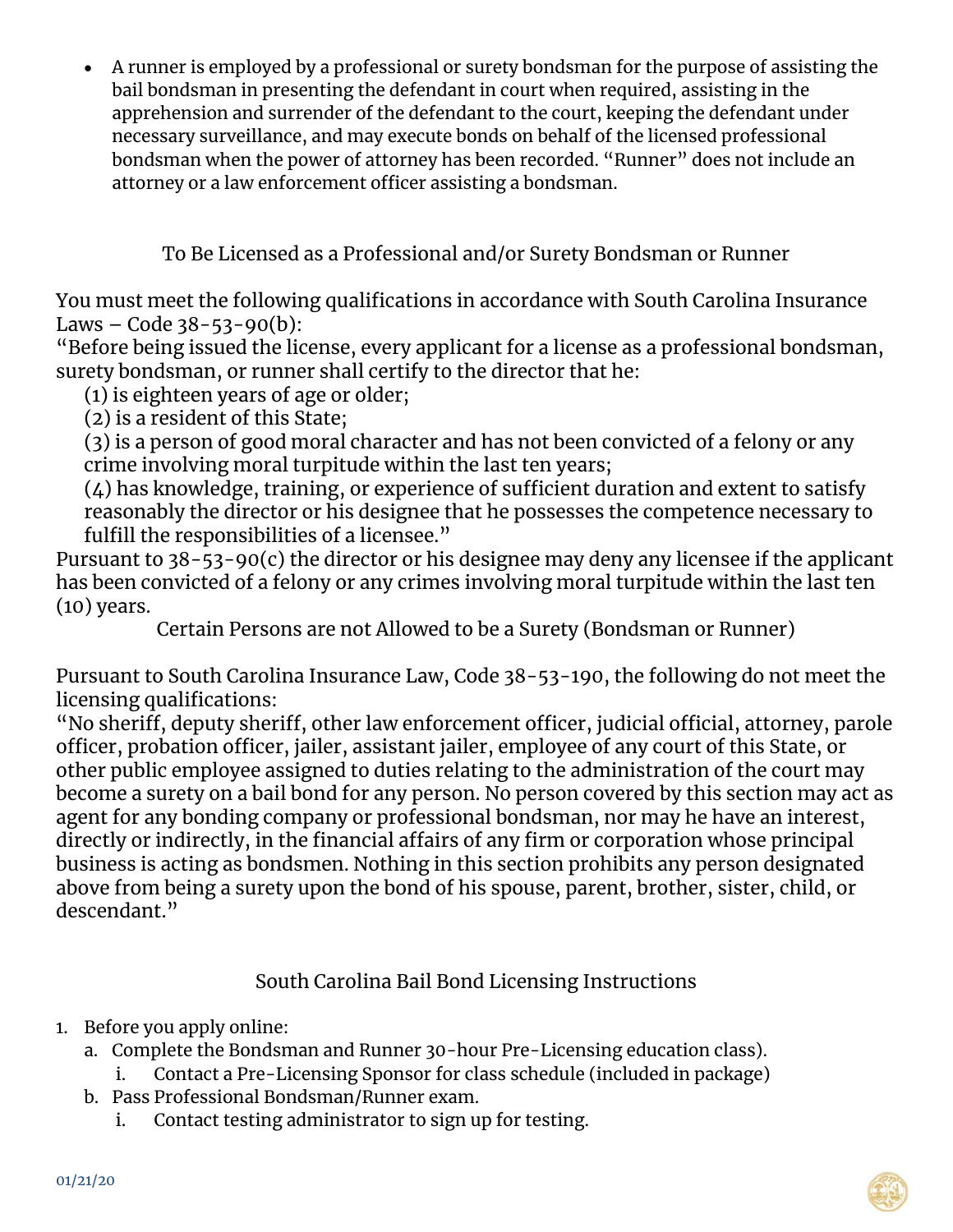A runner is employed by a professional or surety bondsman for the purpose of assisting the bail bondsman in presenting the defendant in court when required, assisting in the apprehension and surrender of the defendant to the court, keeping the defendant under necessary surveillance, and may execute bonds on behalf of the licensed professional bondsman when the power of attorney has been recorded. "Runner" does not include an attorney or a law enforcement officer assisting a bondsman.

To Be Licensed as a Professional and/or Surety Bondsman or Runner

You must meet the following qualifications in accordance with South Carolina Insurance Laws – Code  $38 - 53 - 90(b)$ :

"Before being issued the license, every applicant for a license as a professional bondsman, surety bondsman, or runner shall certify to the director that he:

(1) is eighteen years of age or older;

(2) is a resident of this State;

(3) is a person of good moral character and has not been convicted of a felony or any crime involving moral turpitude within the last ten years;

 $(4)$  has knowledge, training, or experience of sufficient duration and extent to satisfy reasonably the director or his designee that he possesses the competence necessary to fulfill the responsibilities of a licensee."

Pursuant to  $38-\overline{5}3-90(c)$  the director or his designee may deny any licensee if the applicant has been convicted of a felony or any crimes involving moral turpitude within the last ten (10) years.

Certain Persons are not Allowed to be a Surety (Bondsman or Runner)

Pursuant to South Carolina Insurance Law, Code 38-53-190, the following do not meet the licensing qualifications:

"No sheriff, deputy sheriff, other law enforcement officer, judicial official, attorney, parole officer, probation officer, jailer, assistant jailer, employee of any court of this State, or other public employee assigned to duties relating to the administration of the court may become a surety on a bail bond for any person. No person covered by this section may act as agent for any bonding company or professional bondsman, nor may he have an interest, directly or indirectly, in the financial affairs of any firm or corporation whose principal business is acting as bondsmen. Nothing in this section prohibits any person designated above from being a surety upon the bond of his spouse, parent, brother, sister, child, or descendant."

# South Carolina Bail Bond Licensing Instructions

- 1. Before you apply online:
	- a. Complete the Bondsman and Runner 30-hour Pre-Licensing education class). i. Contact a Pre-Licensing Sponsor for class schedule (included in package)
	- b. Pass Professional Bondsman/Runner exam.
		- i. Contact testing administrator to sign up for testing.

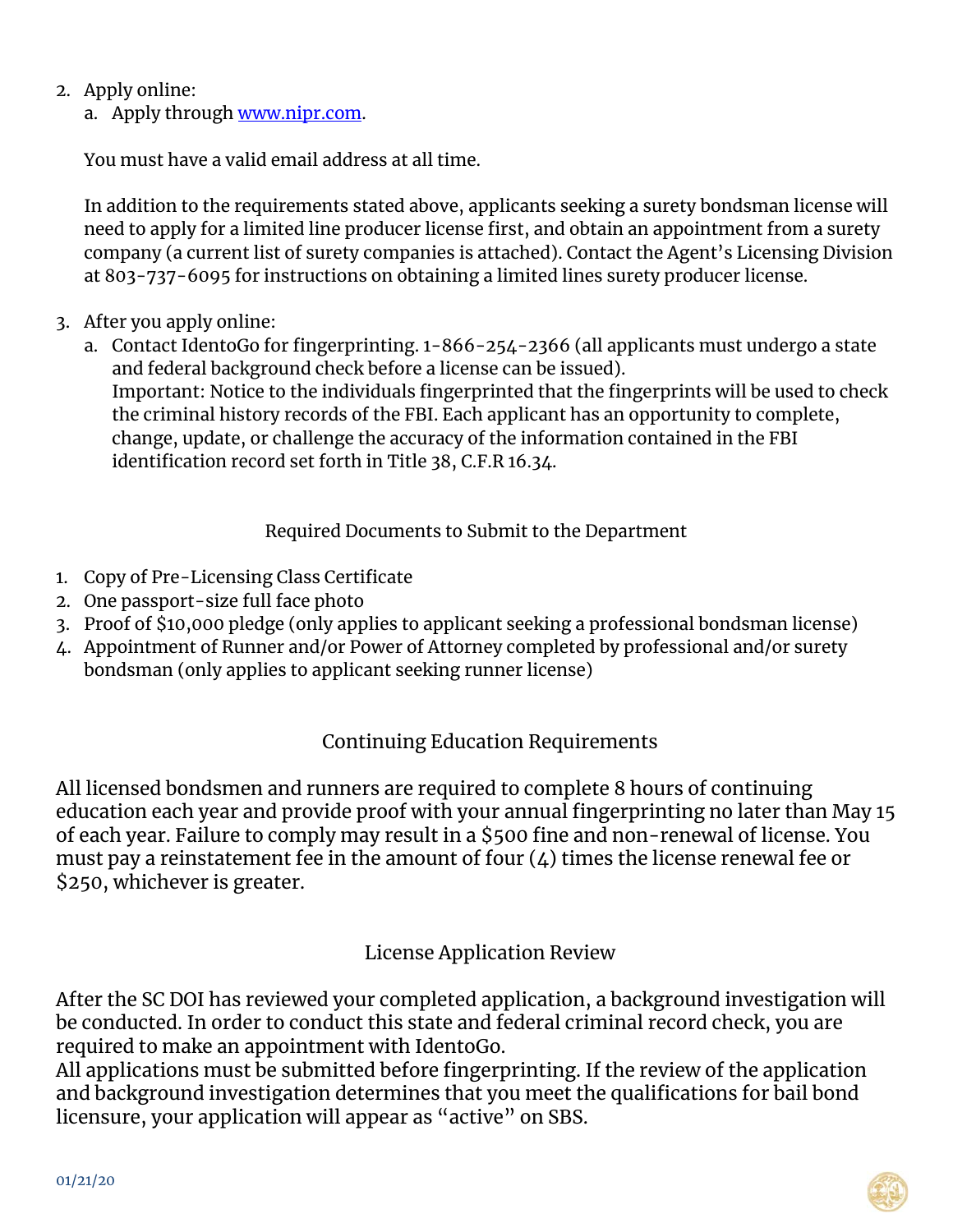- 2. Apply online:
	- a. Apply through www.nipr.com.

You must have a valid email address at all time.

In addition to the requirements stated above, applicants seeking a surety bondsman license will need to apply for a limited line producer license first, and obtain an appointment from a surety company (a current list of surety companies is attached). Contact the Agent's Licensing Division at 803-737-6095 for instructions on obtaining a limited lines surety producer license.

- 3. After you apply online:
	- a. Contact IdentoGo for fingerprinting. 1-866-254-2366 (all applicants must undergo a state and federal background check before a license can be issued). Important: Notice to the individuals fingerprinted that the fingerprints will be used to check the criminal history records of the FBI. Each applicant has an opportunity to complete, change, update, or challenge the accuracy of the information contained in the FBI identification record set forth in Title 38, C.F.R 16.34.

#### Required Documents to Submit to the Department

- 1. Copy of Pre-Licensing Class Certificate
- 2. One passport-size full face photo
- 3. Proof of \$10,000 pledge (only applies to applicant seeking a professional bondsman license)
- 4. Appointment of Runner and/or Power of Attorney completed by professional and/or surety bondsman (only applies to applicant seeking runner license)

# Continuing Education Requirements

All licensed bondsmen and runners are required to complete 8 hours of continuing education each year and provide proof with your annual fingerprinting no later than May 15 of each year. Failure to comply may result in a \$500 fine and non-renewal of license. You must pay a reinstatement fee in the amount of four  $(4)$  times the license renewal fee or \$250, whichever is greater.

### License Application Review

After the SC DOI has reviewed your completed application, a background investigation will be conducted. In order to conduct this state and federal criminal record check, you are required to make an appointment with IdentoGo.

All applications must be submitted before fingerprinting. If the review of the application and background investigation determines that you meet the qualifications for bail bond licensure, your application will appear as "active" on SBS.

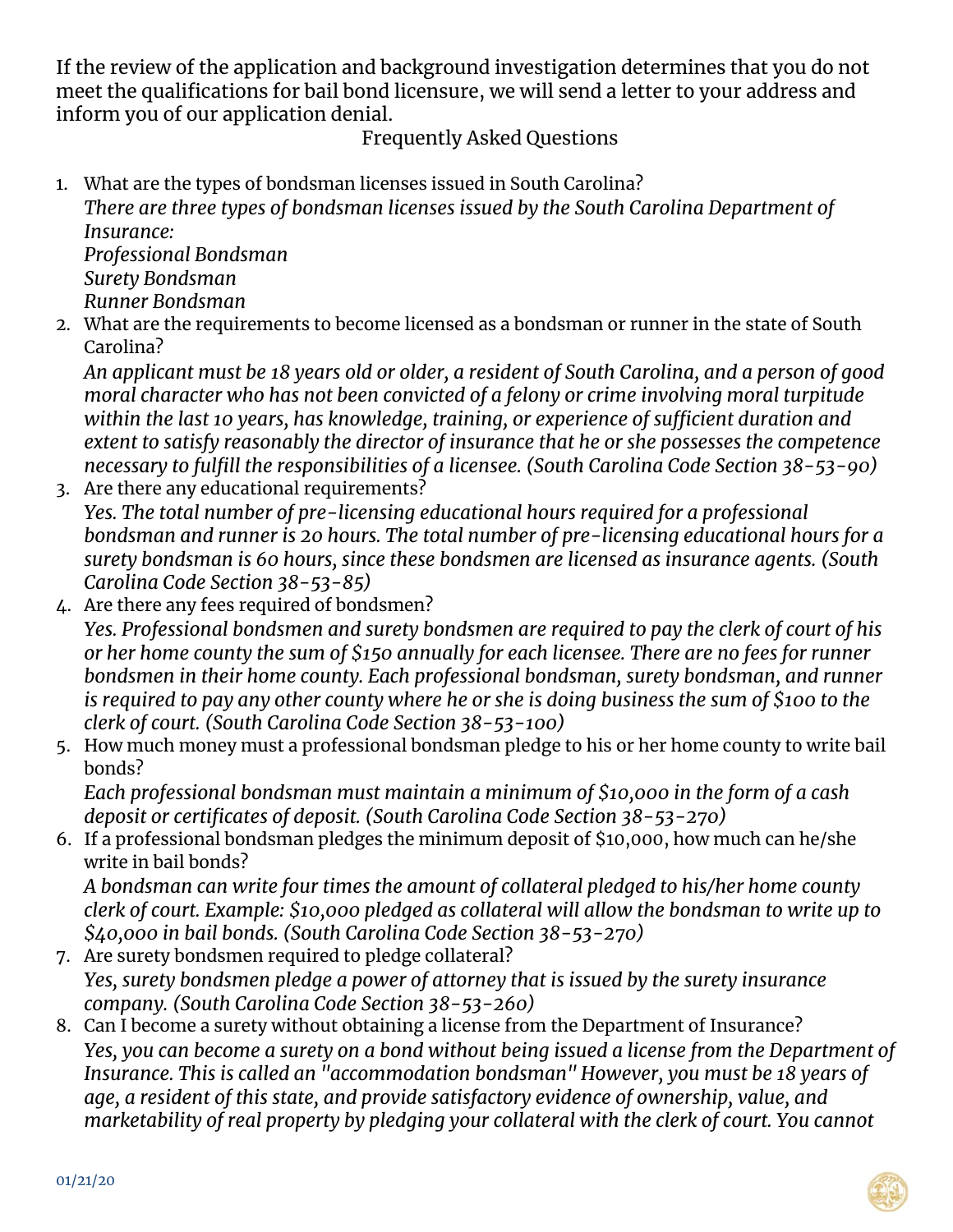If the review of the application and background investigation determines that you do not meet the qualifications for bail bond licensure, we will send a letter to your address and inform you of our application denial.

## Frequently Asked Questions

1. What are the types of bondsman licenses issued in South Carolina?

*There are three types of bondsman licenses issued by the South Carolina Department of Insurance:* 

*Professional Bondsman Surety Bondsman Runner Bondsman* 

2. What are the requirements to become licensed as a bondsman or runner in the state of South Carolina?

*An applicant must be 18 years old or older, a resident of South Carolina, and a person of good moral character who has not been convicted of a felony or crime involving moral turpitude within the last 10 years, has knowledge, training, or experience of sufficient duration and extent to satisfy reasonably the director of insurance that he or she possesses the competence necessary to fulfill the responsibilities of a licensee. (South Carolina Code Section 38-53-90)* 

- 3. Are there any educational requirements? *Yes. The total number of pre-licensing educational hours required for a professional bondsman and runner is 20 hours. The total number of pre-licensing educational hours for a surety bondsman is 60 hours, since these bondsmen are licensed as insurance agents. (South Carolina Code Section 38-53-85)*
- 4. Are there any fees required of bondsmen?

*Yes. Professional bondsmen and surety bondsmen are required to pay the clerk of court of his or her home county the sum of \$150 annually for each licensee. There are no fees for runner bondsmen in their home county. Each professional bondsman, surety bondsman, and runner is required to pay any other county where he or she is doing business the sum of \$100 to the clerk of court. (South Carolina Code Section 38-53-100)* 

5. How much money must a professional bondsman pledge to his or her home county to write bail bonds?

*Each professional bondsman must maintain a minimum of \$10,000 in the form of a cash deposit or certificates of deposit. (South Carolina Code Section 38-53-270)* 

6. If a professional bondsman pledges the minimum deposit of \$10,000, how much can he/she write in bail bonds?

*A bondsman can write four times the amount of collateral pledged to his/her home county clerk of court. Example: \$10,000 pledged as collateral will allow the bondsman to write up to \$40,000 in bail bonds. (South Carolina Code Section 38-53-270)* 

- 7. Are surety bondsmen required to pledge collateral? *Yes, surety bondsmen pledge a power of attorney that is issued by the surety insurance company. (South Carolina Code Section 38-53-260)*
- 8. Can I become a surety without obtaining a license from the Department of Insurance? *Yes, you can become a surety on a bond without being issued a license from the Department of Insurance. This is called an "accommodation bondsman" However, you must be 18 years of age, a resident of this state, and provide satisfactory evidence of ownership, value, and marketability of real property by pledging your collateral with the clerk of court. You cannot*

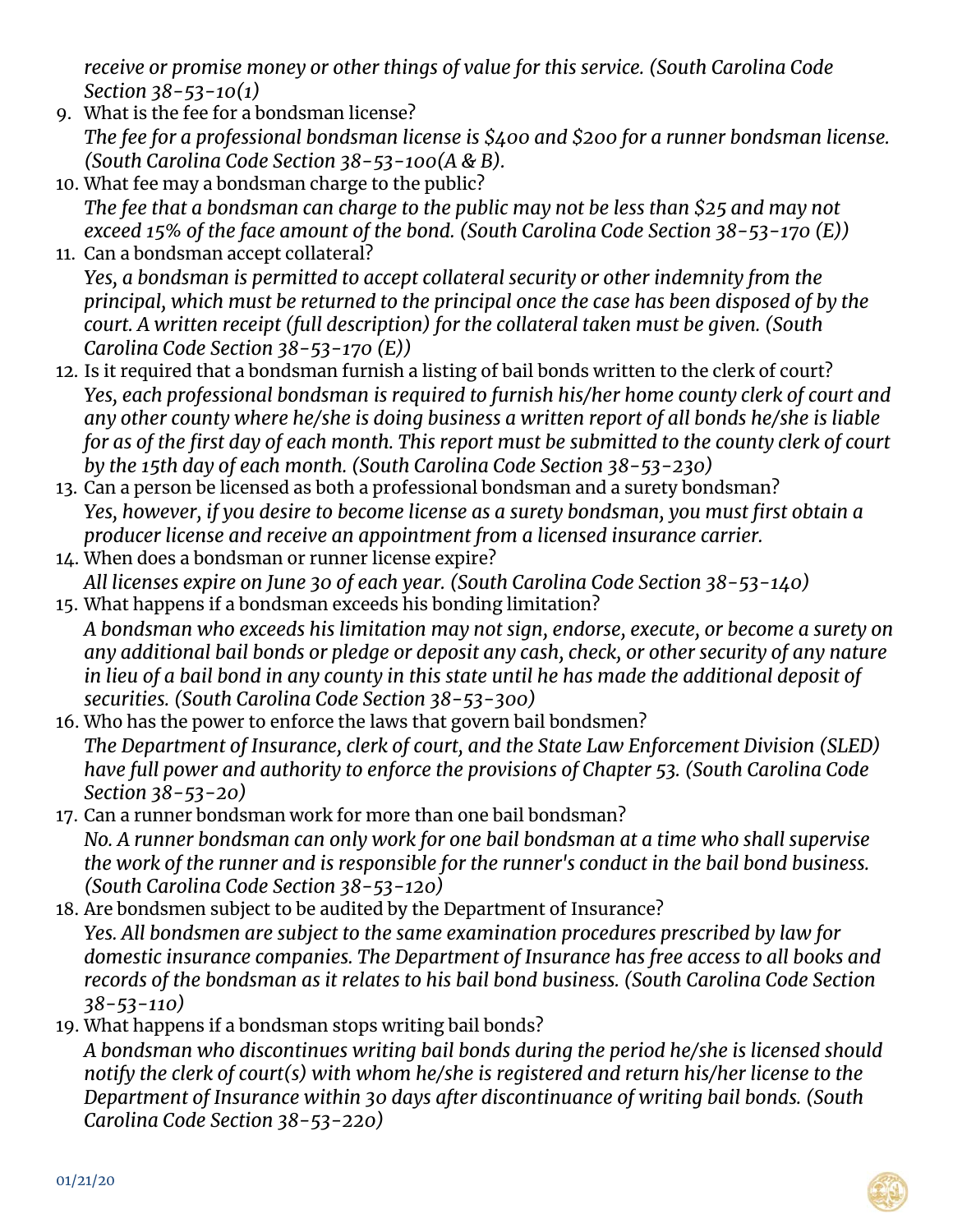*receive or promise money or other things of value for this service. (South Carolina Code Section 38-53-10(1)* 

- 9. What is the fee for a bondsman license? *The fee for a professional bondsman license is \$400 and \$200 for a runner bondsman license. (South Carolina Code Section 38-53-100(A & B).*
- 10. What fee may a bondsman charge to the public? *The fee that a bondsman can charge to the public may not be less than \$25 and may not exceed 15% of the face amount of the bond. (South Carolina Code Section 38-53-170 (E))*
- 11. Can a bondsman accept collateral? *Yes, a bondsman is permitted to accept collateral security or other indemnity from the principal, which must be returned to the principal once the case has been disposed of by the court. A written receipt (full description) for the collateral taken must be given. (South Carolina Code Section 38-53-170 (E))*
- 12. Is it required that a bondsman furnish a listing of bail bonds written to the clerk of court? *Yes, each professional bondsman is required to furnish his/her home county clerk of court and any other county where he/she is doing business a written report of all bonds he/she is liable for as of the first day of each month. This report must be submitted to the county clerk of court by the 15th day of each month. (South Carolina Code Section 38-53-230)*
- 13. Can a person be licensed as both a professional bondsman and a surety bondsman? *Yes, however, if you desire to become license as a surety bondsman, you must first obtain a producer license and receive an appointment from a licensed insurance carrier.*
- 14. When does a bondsman or runner license expire? *All licenses expire on June 30 of each year. (South Carolina Code Section 38-53-140)*
- 15. What happens if a bondsman exceeds his bonding limitation? *A bondsman who exceeds his limitation may not sign, endorse, execute, or become a surety on any additional bail bonds or pledge or deposit any cash, check, or other security of any nature in lieu of a bail bond in any county in this state until he has made the additional deposit of securities. (South Carolina Code Section 38-53-300)*
- 16. Who has the power to enforce the laws that govern bail bondsmen? *The Department of Insurance, clerk of court, and the State Law Enforcement Division (SLED) have full power and authority to enforce the provisions of Chapter 53. (South Carolina Code Section 38-53-20)*
- 17. Can a runner bondsman work for more than one bail bondsman? *No. A runner bondsman can only work for one bail bondsman at a time who shall supervise the work of the runner and is responsible for the runner's conduct in the bail bond business. (South Carolina Code Section 38-53-120)*
- 18. Are bondsmen subject to be audited by the Department of Insurance? *Yes. All bondsmen are subject to the same examination procedures prescribed by law for domestic insurance companies. The Department of Insurance has free access to all books and records of the bondsman as it relates to his bail bond business. (South Carolina Code Section 38-53-110)*
- 19. What happens if a bondsman stops writing bail bonds?

*A bondsman who discontinues writing bail bonds during the period he/she is licensed should notify the clerk of court(s) with whom he/she is registered and return his/her license to the Department of Insurance within 30 days after discontinuance of writing bail bonds. (South Carolina Code Section 38-53-220)* 

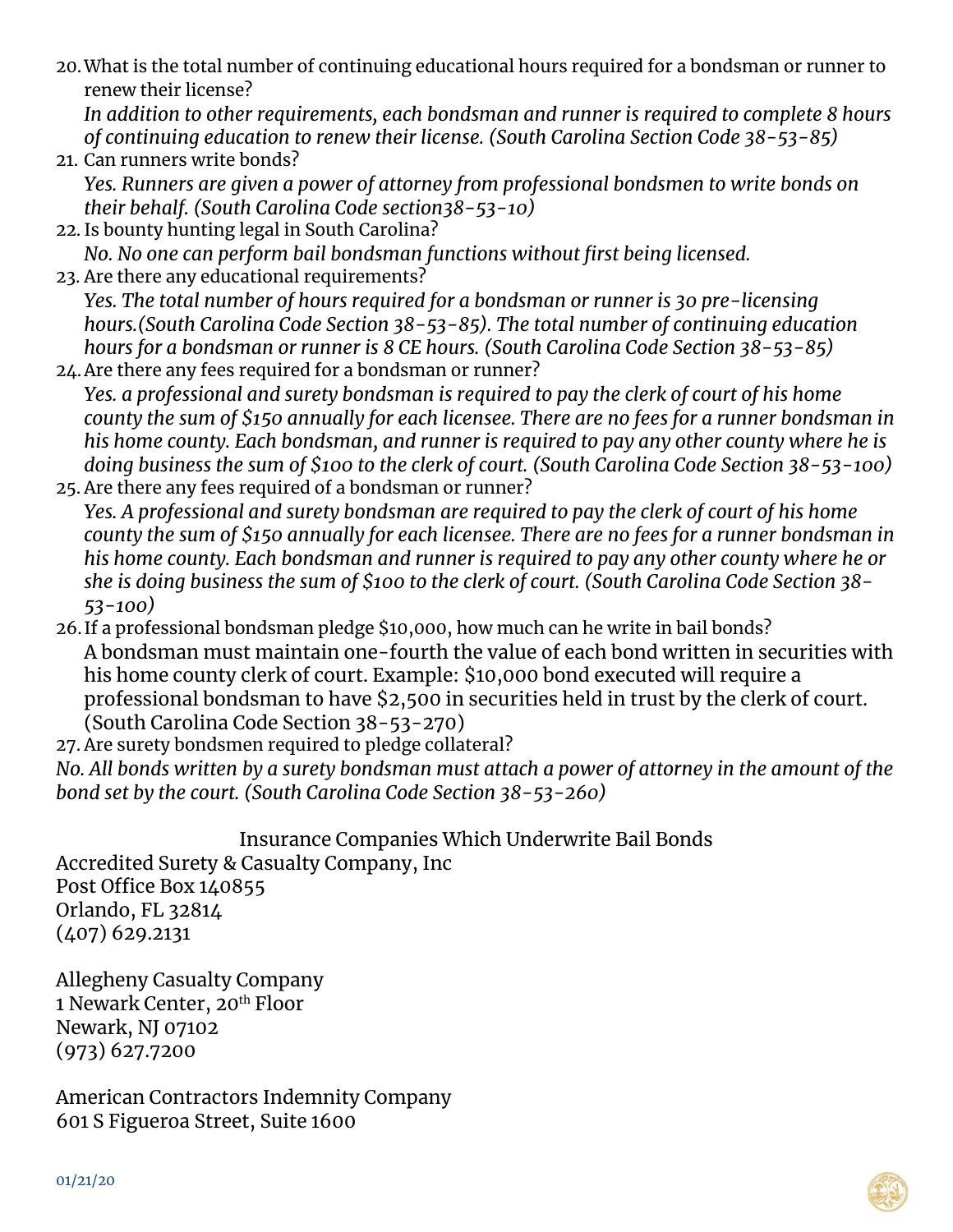20.What is the total number of continuing educational hours required for a bondsman or runner to renew their license?

*In addition to other requirements, each bondsman and runner is required to complete 8 hours of continuing education to renew their license. (South Carolina Section Code 38-53-85)* 

- 21. Can runners write bonds? *Yes. Runners are given a power of attorney from professional bondsmen to write bonds on*
- *their behalf. (South Carolina Code section38-53-10)*  22. Is bounty hunting legal in South Carolina?
- *No. No one can perform bail bondsman functions without first being licensed.*
- 23. Are there any educational requirements? *Yes. The total number of hours required for a bondsman or runner is 30 pre-licensing hours.(South Carolina Code Section 38-53-85). The total number of continuing education hours for a bondsman or runner is 8 CE hours. (South Carolina Code Section 38-53-85)*
- 24.Are there any fees required for a bondsman or runner? *Yes. a professional and surety bondsman is required to pay the clerk of court of his home county the sum of \$150 annually for each licensee. There are no fees for a runner bondsman in his home county. Each bondsman, and runner is required to pay any other county where he is doing business the sum of \$100 to the clerk of court. (South Carolina Code Section 38-53-100)*
- 25. Are there any fees required of a bondsman or runner? *Yes. A professional and surety bondsman are required to pay the clerk of court of his home county the sum of \$150 annually for each licensee. There are no fees for a runner bondsman in his home county. Each bondsman and runner is required to pay any other county where he or she is doing business the sum of \$100 to the clerk of court. (South Carolina Code Section 38- 53-100)*
- 26. If a professional bondsman pledge \$10,000, how much can he write in bail bonds? A bondsman must maintain one-fourth the value of each bond written in securities with his home county clerk of court. Example: \$10,000 bond executed will require a professional bondsman to have \$2,500 in securities held in trust by the clerk of court. (South Carolina Code Section 38-53-270)
- 27. Are surety bondsmen required to pledge collateral?

*No. All bonds written by a surety bondsman must attach a power of attorney in the amount of the bond set by the court. (South Carolina Code Section 38-53-260)* 

Insurance Companies Which Underwrite Bail Bonds Accredited Surety & Casualty Company, Inc Post Office Box 140855 Orlando, FL 32814 (407) 629.2131

Allegheny Casualty Company 1 Newark Center, 20th Floor Newark, NJ 07102 (973) 627.7200

American Contractors Indemnity Company 601 S Figueroa Street, Suite 1600

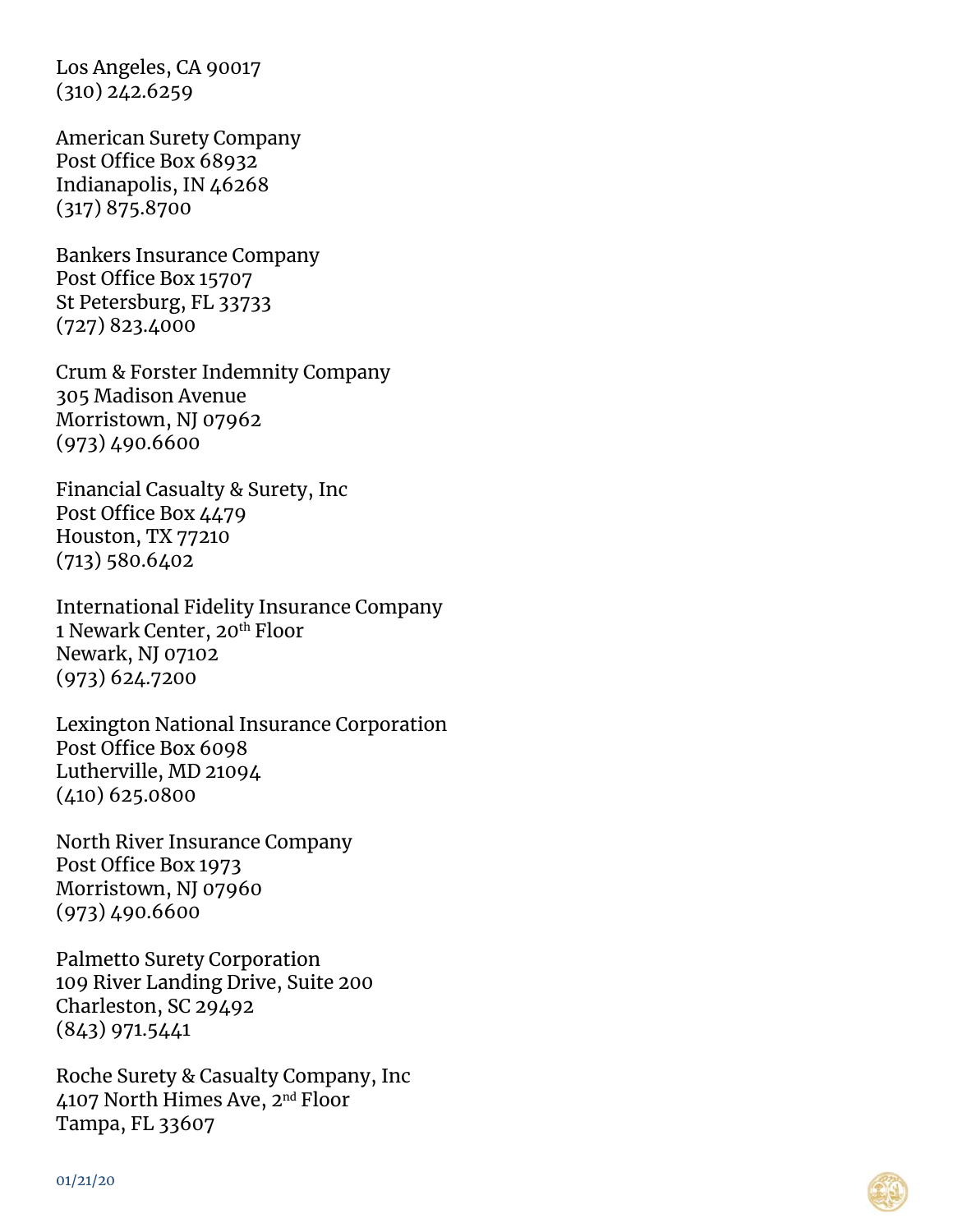Los Angeles, CA 90017  $(310)$  242.6259

American Surety Company Post Office Box 68932 Indianapolis, IN 46268 (317) 875.8700

Bankers Insurance Company Post Office Box 15707 St Petersburg, FL 33733 (727) 823.4000

Crum & Forster Indemnity Company 305 Madison Avenue Morristown, NJ 07962 (973) 490.6600

Financial Casualty & Surety, Inc Post Office Box 4479 Houston, TX 77210 (713) 580.6402

International Fidelity Insurance Company 1 Newark Center, 20<sup>th</sup> Floor Newark, NJ 07102 (973) 624.7200

Lexington National Insurance Corporation Post Office Box 6098 Lutherville, MD 21094 (410) 625.0800

North River Insurance Company Post Office Box 1973 Morristown, NJ 07960 (973) 490.6600

Palmetto Surety Corporation 109 River Landing Drive, Suite 200 Charleston, SC 29492 (843) 971.5441

Roche Surety & Casualty Company, Inc 4107 North Himes Ave, 2nd Floor Tampa, FL 33607

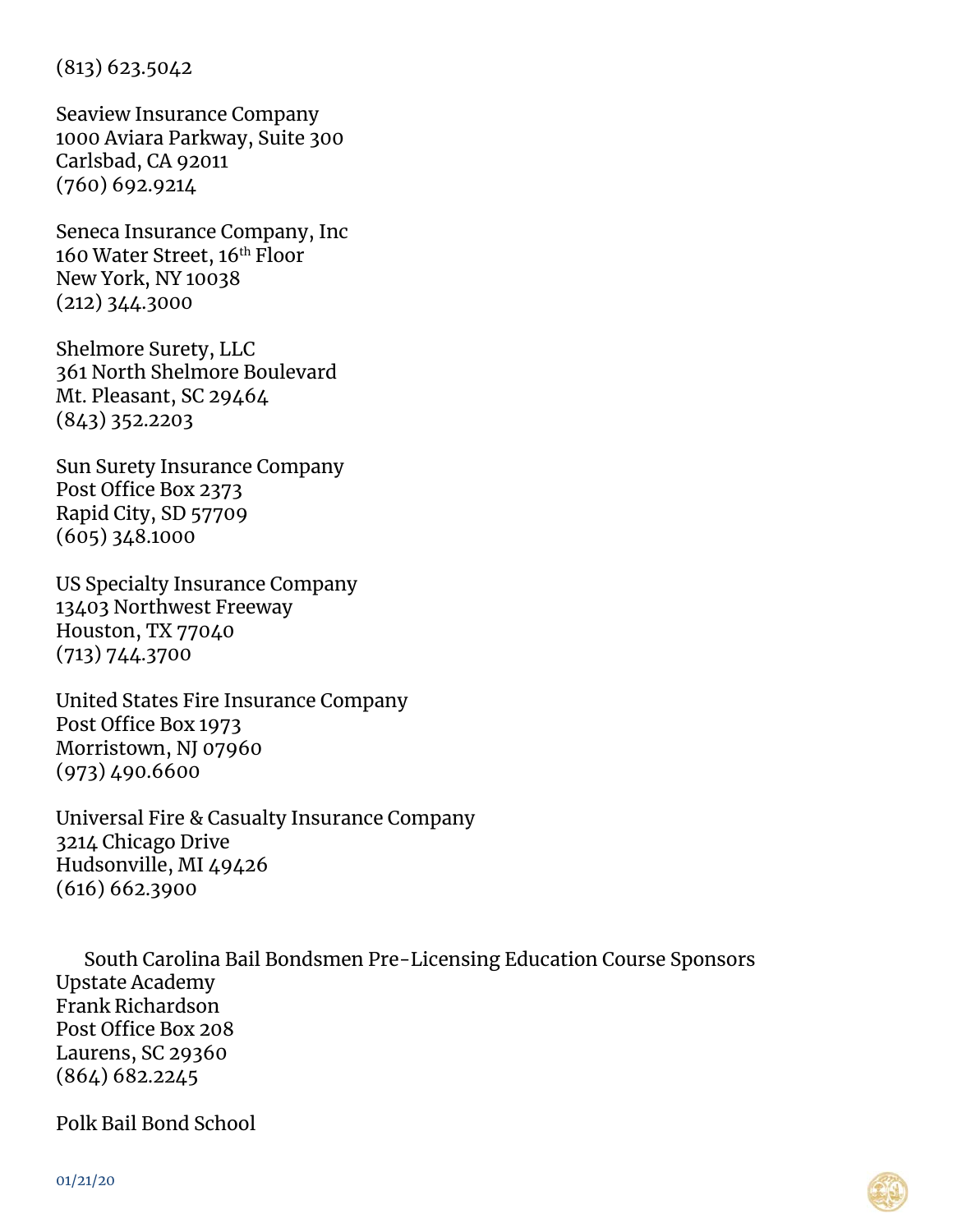(813) 623.5042

Seaview Insurance Company 1000 Aviara Parkway, Suite 300 Carlsbad, CA 92011 (760) 692.9214

Seneca Insurance Company, Inc 160 Water Street, 16th Floor New York, NY 10038 (212) 344.3000

Shelmore Surety, LLC 361 North Shelmore Boulevard Mt. Pleasant, SC 29464 (843) 352.2203

Sun Surety Insurance Company Post Office Box 2373 Rapid City, SD 57709 (605) 348.1000

US Specialty Insurance Company 13403 Northwest Freeway Houston, TX 77040 (713) 744.3700

United States Fire Insurance Company Post Office Box 1973 Morristown, NJ 07960 (973) 490.6600

Universal Fire & Casualty Insurance Company 3214 Chicago Drive Hudsonville, MI 49426 (616) 662.3900

South Carolina Bail Bondsmen Pre-Licensing Education Course Sponsors Upstate Academy Frank Richardson Post Office Box 208 Laurens, SC 29360 (864) 682.2245

Polk Bail Bond School

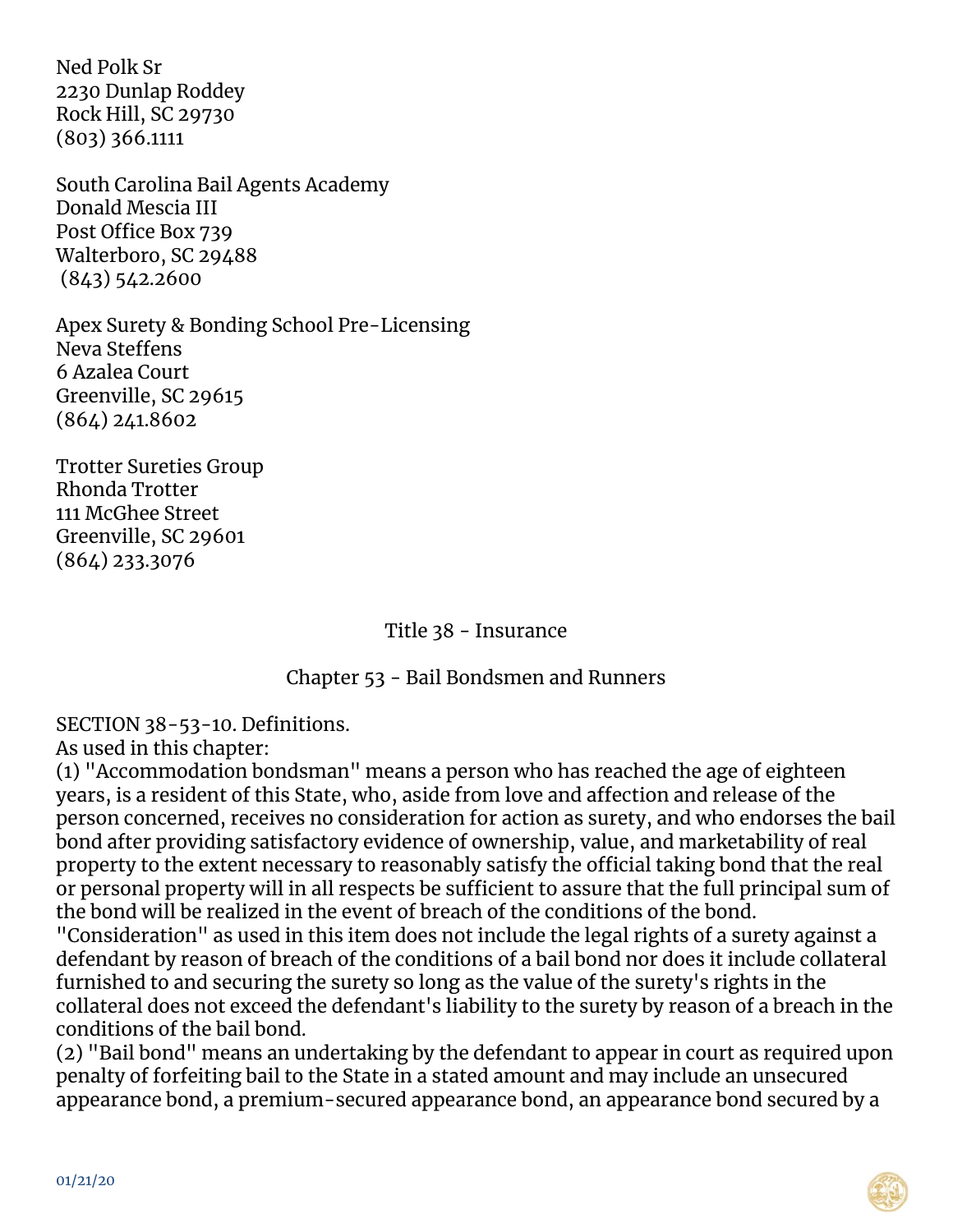Ned Polk Sr 2230 Dunlap Roddey Rock Hill, SC 29730 (803) 366.1111

South Carolina Bail Agents Academy Donald Mescia III Post Office Box 739 Walterboro, SC 29488 (843) 542.2600

Apex Surety & Bonding School Pre-Licensing Neva Steffens 6 Azalea Court Greenville, SC 29615 (864) 241.8602

Trotter Sureties Group Rhonda Trotter 111 McGhee Street Greenville, SC 29601 (864) 233.3076

Title 38 - Insurance

Chapter 53 - Bail Bondsmen and Runners

SECTION 38-53-10. Definitions.

As used in this chapter:

(1) "Accommodation bondsman" means a person who has reached the age of eighteen years, is a resident of this State, who, aside from love and affection and release of the person concerned, receives no consideration for action as surety, and who endorses the bail bond after providing satisfactory evidence of ownership, value, and marketability of real property to the extent necessary to reasonably satisfy the official taking bond that the real or personal property will in all respects be sufficient to assure that the full principal sum of the bond will be realized in the event of breach of the conditions of the bond.

"Consideration" as used in this item does not include the legal rights of a surety against a defendant by reason of breach of the conditions of a bail bond nor does it include collateral furnished to and securing the surety so long as the value of the surety's rights in the collateral does not exceed the defendant's liability to the surety by reason of a breach in the conditions of the bail bond.

(2) "Bail bond" means an undertaking by the defendant to appear in court as required upon penalty of forfeiting bail to the State in a stated amount and may include an unsecured appearance bond, a premium-secured appearance bond, an appearance bond secured by a

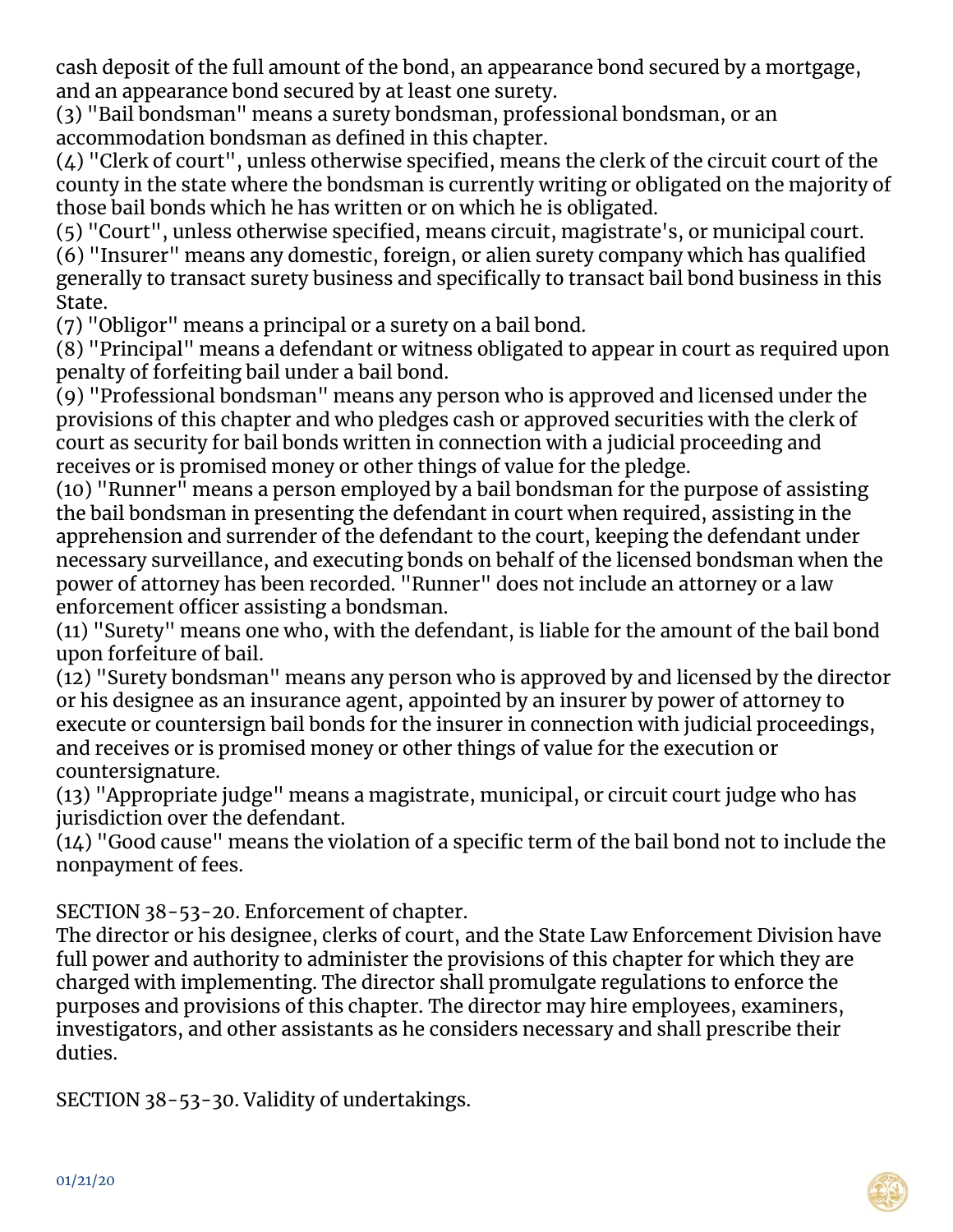cash deposit of the full amount of the bond, an appearance bond secured by a mortgage, and an appearance bond secured by at least one surety.

(3) "Bail bondsman" means a surety bondsman, professional bondsman, or an accommodation bondsman as defined in this chapter.

(4) "Clerk of court", unless otherwise specified, means the clerk of the circuit court of the county in the state where the bondsman is currently writing or obligated on the majority of those bail bonds which he has written or on which he is obligated.

(5) "Court", unless otherwise specified, means circuit, magistrate's, or municipal court.

(6) "Insurer" means any domestic, foreign, or alien surety company which has qualified generally to transact surety business and specifically to transact bail bond business in this State.

(7) "Obligor" means a principal or a surety on a bail bond.

(8) "Principal" means a defendant or witness obligated to appear in court as required upon penalty of forfeiting bail under a bail bond.

(9) "Professional bondsman" means any person who is approved and licensed under the provisions of this chapter and who pledges cash or approved securities with the clerk of court as security for bail bonds written in connection with a judicial proceeding and receives or is promised money or other things of value for the pledge.

(10) "Runner" means a person employed by a bail bondsman for the purpose of assisting the bail bondsman in presenting the defendant in court when required, assisting in the apprehension and surrender of the defendant to the court, keeping the defendant under necessary surveillance, and executing bonds on behalf of the licensed bondsman when the power of attorney has been recorded. "Runner" does not include an attorney or a law enforcement officer assisting a bondsman.

(11) "Surety" means one who, with the defendant, is liable for the amount of the bail bond upon forfeiture of bail.

(12) "Surety bondsman" means any person who is approved by and licensed by the director or his designee as an insurance agent, appointed by an insurer by power of attorney to execute or countersign bail bonds for the insurer in connection with judicial proceedings, and receives or is promised money or other things of value for the execution or countersignature.

(13) "Appropriate judge" means a magistrate, municipal, or circuit court judge who has jurisdiction over the defendant.

(14) "Good cause" means the violation of a specific term of the bail bond not to include the nonpayment of fees.

SECTION 38-53-20. Enforcement of chapter.

The director or his designee, clerks of court, and the State Law Enforcement Division have full power and authority to administer the provisions of this chapter for which they are charged with implementing. The director shall promulgate regulations to enforce the purposes and provisions of this chapter. The director may hire employees, examiners, investigators, and other assistants as he considers necessary and shall prescribe their duties.

SECTION 38-53-30. Validity of undertakings.

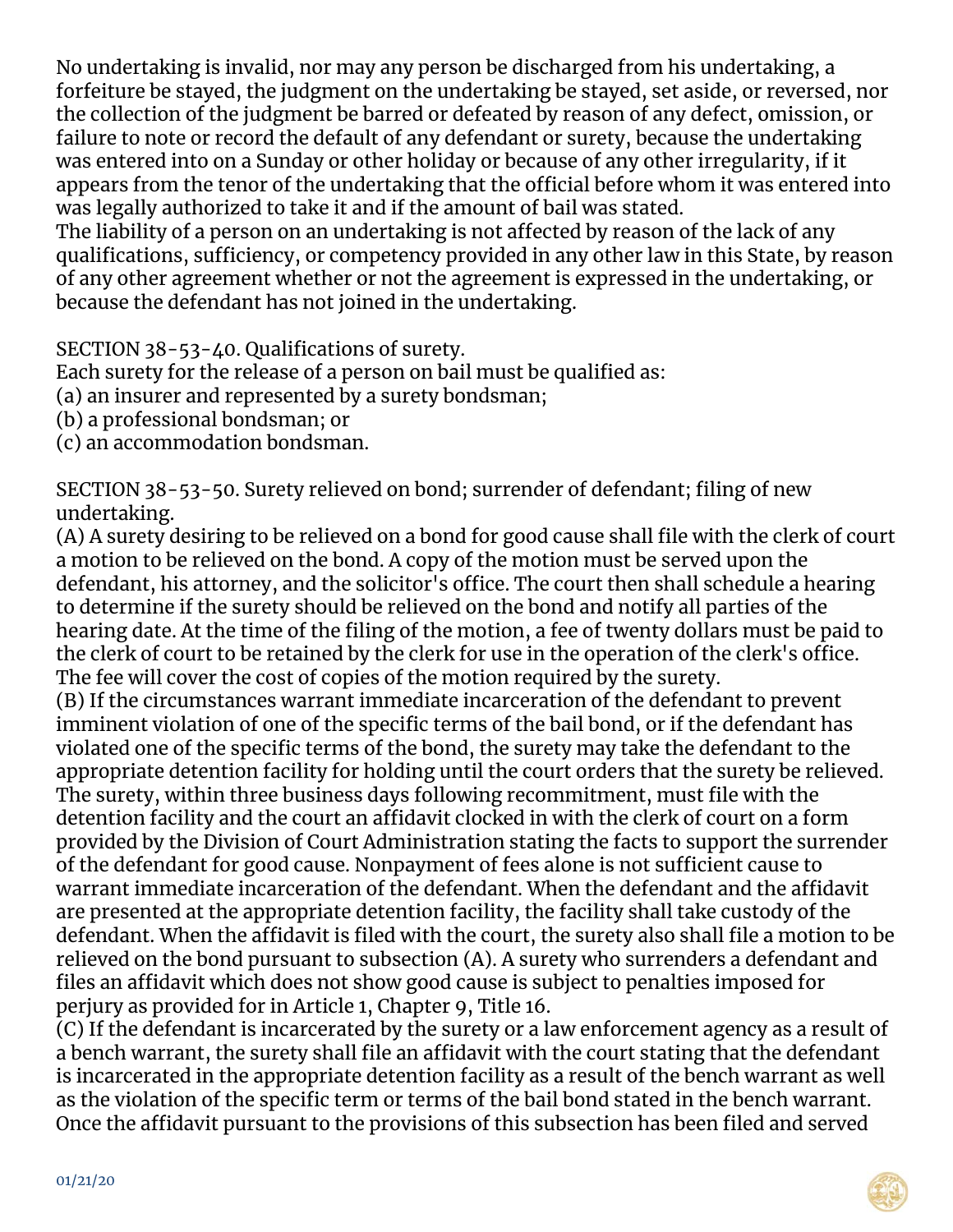No undertaking is invalid, nor may any person be discharged from his undertaking, a forfeiture be stayed, the judgment on the undertaking be stayed, set aside, or reversed, nor the collection of the judgment be barred or defeated by reason of any defect, omission, or failure to note or record the default of any defendant or surety, because the undertaking was entered into on a Sunday or other holiday or because of any other irregularity, if it appears from the tenor of the undertaking that the official before whom it was entered into was legally authorized to take it and if the amount of bail was stated.

The liability of a person on an undertaking is not affected by reason of the lack of any qualifications, sufficiency, or competency provided in any other law in this State, by reason of any other agreement whether or not the agreement is expressed in the undertaking, or because the defendant has not joined in the undertaking.

SECTION 38-53-40. Qualifications of surety.

Each surety for the release of a person on bail must be qualified as:

(a) an insurer and represented by a surety bondsman;

(b) a professional bondsman; or

(c) an accommodation bondsman.

SECTION 38-53-50. Surety relieved on bond; surrender of defendant; filing of new undertaking.

(A) A surety desiring to be relieved on a bond for good cause shall file with the clerk of court a motion to be relieved on the bond. A copy of the motion must be served upon the defendant, his attorney, and the solicitor's office. The court then shall schedule a hearing to determine if the surety should be relieved on the bond and notify all parties of the hearing date. At the time of the filing of the motion, a fee of twenty dollars must be paid to the clerk of court to be retained by the clerk for use in the operation of the clerk's office. The fee will cover the cost of copies of the motion required by the surety.

(B) If the circumstances warrant immediate incarceration of the defendant to prevent imminent violation of one of the specific terms of the bail bond, or if the defendant has violated one of the specific terms of the bond, the surety may take the defendant to the appropriate detention facility for holding until the court orders that the surety be relieved. The surety, within three business days following recommitment, must file with the detention facility and the court an affidavit clocked in with the clerk of court on a form provided by the Division of Court Administration stating the facts to support the surrender of the defendant for good cause. Nonpayment of fees alone is not sufficient cause to warrant immediate incarceration of the defendant. When the defendant and the affidavit are presented at the appropriate detention facility, the facility shall take custody of the defendant. When the affidavit is filed with the court, the surety also shall file a motion to be relieved on the bond pursuant to subsection (A). A surety who surrenders a defendant and files an affidavit which does not show good cause is subject to penalties imposed for perjury as provided for in Article 1, Chapter 9, Title 16.

(C) If the defendant is incarcerated by the surety or a law enforcement agency as a result of a bench warrant, the surety shall file an affidavit with the court stating that the defendant is incarcerated in the appropriate detention facility as a result of the bench warrant as well as the violation of the specific term or terms of the bail bond stated in the bench warrant. Once the affidavit pursuant to the provisions of this subsection has been filed and served

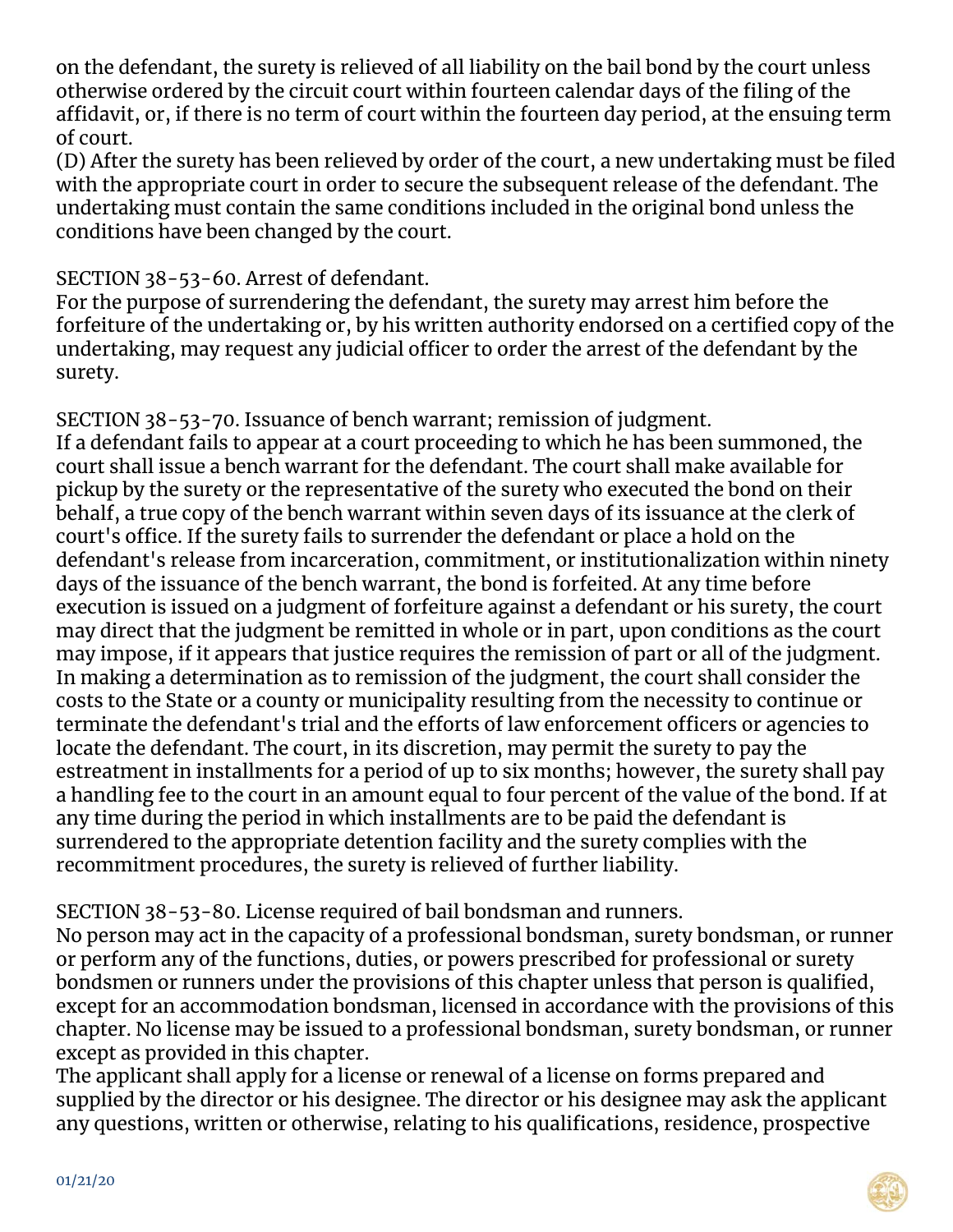on the defendant, the surety is relieved of all liability on the bail bond by the court unless otherwise ordered by the circuit court within fourteen calendar days of the filing of the affidavit, or, if there is no term of court within the fourteen day period, at the ensuing term of court.

(D) After the surety has been relieved by order of the court, a new undertaking must be filed with the appropriate court in order to secure the subsequent release of the defendant. The undertaking must contain the same conditions included in the original bond unless the conditions have been changed by the court.

## SECTION 38-53-60. Arrest of defendant.

For the purpose of surrendering the defendant, the surety may arrest him before the forfeiture of the undertaking or, by his written authority endorsed on a certified copy of the undertaking, may request any judicial officer to order the arrest of the defendant by the surety.

SECTION 38-53-70. Issuance of bench warrant; remission of judgment. If a defendant fails to appear at a court proceeding to which he has been summoned, the court shall issue a bench warrant for the defendant. The court shall make available for pickup by the surety or the representative of the surety who executed the bond on their behalf, a true copy of the bench warrant within seven days of its issuance at the clerk of court's office. If the surety fails to surrender the defendant or place a hold on the defendant's release from incarceration, commitment, or institutionalization within ninety days of the issuance of the bench warrant, the bond is forfeited. At any time before execution is issued on a judgment of forfeiture against a defendant or his surety, the court may direct that the judgment be remitted in whole or in part, upon conditions as the court may impose, if it appears that justice requires the remission of part or all of the judgment. In making a determination as to remission of the judgment, the court shall consider the costs to the State or a county or municipality resulting from the necessity to continue or terminate the defendant's trial and the efforts of law enforcement officers or agencies to locate the defendant. The court, in its discretion, may permit the surety to pay the estreatment in installments for a period of up to six months; however, the surety shall pay a handling fee to the court in an amount equal to four percent of the value of the bond. If at any time during the period in which installments are to be paid the defendant is surrendered to the appropriate detention facility and the surety complies with the recommitment procedures, the surety is relieved of further liability.

SECTION 38-53-80. License required of bail bondsman and runners.

No person may act in the capacity of a professional bondsman, surety bondsman, or runner or perform any of the functions, duties, or powers prescribed for professional or surety bondsmen or runners under the provisions of this chapter unless that person is qualified, except for an accommodation bondsman, licensed in accordance with the provisions of this chapter. No license may be issued to a professional bondsman, surety bondsman, or runner except as provided in this chapter.

The applicant shall apply for a license or renewal of a license on forms prepared and supplied by the director or his designee. The director or his designee may ask the applicant any questions, written or otherwise, relating to his qualifications, residence, prospective

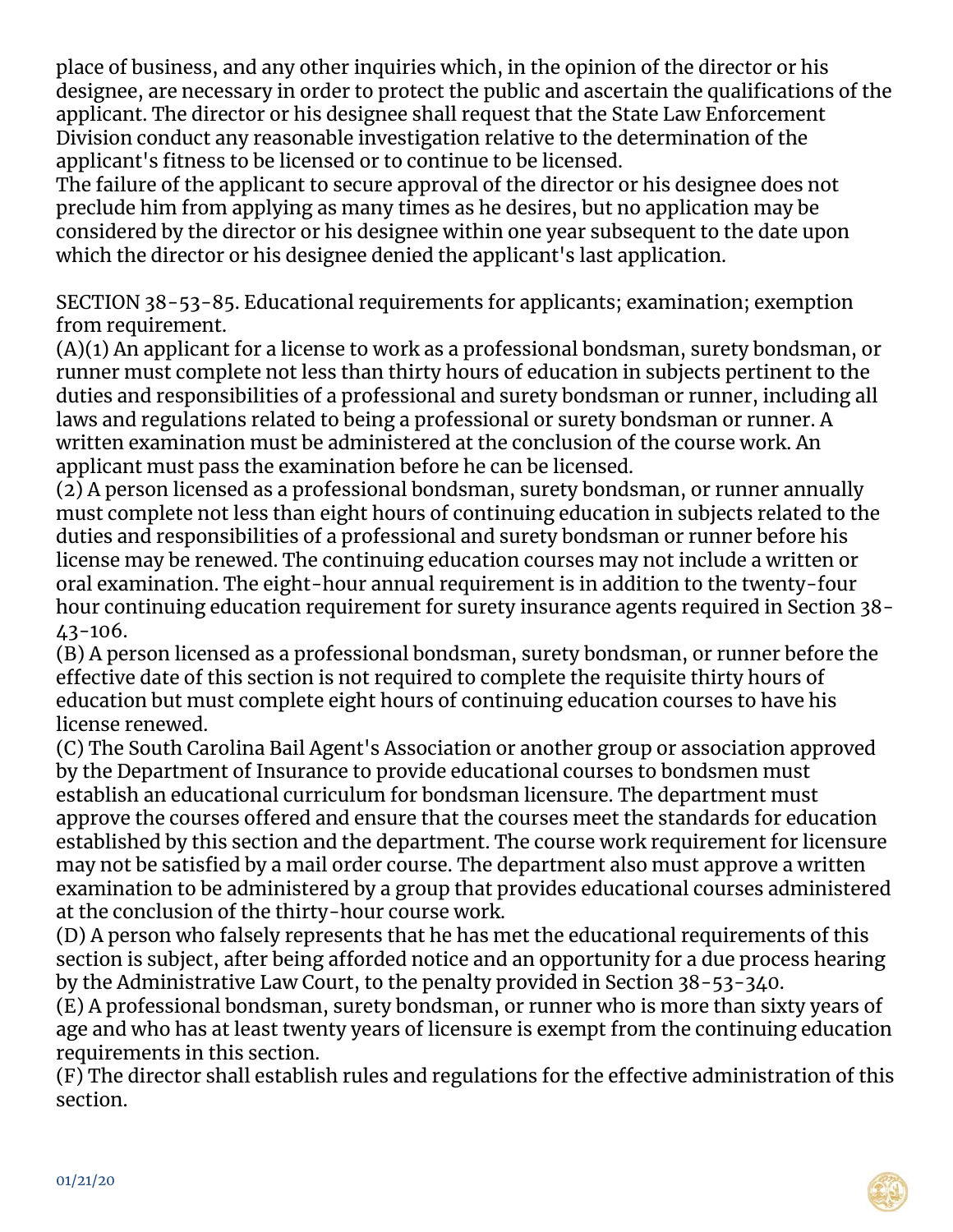place of business, and any other inquiries which, in the opinion of the director or his designee, are necessary in order to protect the public and ascertain the qualifications of the applicant. The director or his designee shall request that the State Law Enforcement Division conduct any reasonable investigation relative to the determination of the applicant's fitness to be licensed or to continue to be licensed.

The failure of the applicant to secure approval of the director or his designee does not preclude him from applying as many times as he desires, but no application may be considered by the director or his designee within one year subsequent to the date upon which the director or his designee denied the applicant's last application.

SECTION 38-53-85. Educational requirements for applicants; examination; exemption from requirement.

(A)(1) An applicant for a license to work as a professional bondsman, surety bondsman, or runner must complete not less than thirty hours of education in subjects pertinent to the duties and responsibilities of a professional and surety bondsman or runner, including all laws and regulations related to being a professional or surety bondsman or runner. A written examination must be administered at the conclusion of the course work. An applicant must pass the examination before he can be licensed.

(2) A person licensed as a professional bondsman, surety bondsman, or runner annually must complete not less than eight hours of continuing education in subjects related to the duties and responsibilities of a professional and surety bondsman or runner before his license may be renewed. The continuing education courses may not include a written or oral examination. The eight-hour annual requirement is in addition to the twenty-four hour continuing education requirement for surety insurance agents required in Section 38- 43-106.

(B) A person licensed as a professional bondsman, surety bondsman, or runner before the effective date of this section is not required to complete the requisite thirty hours of education but must complete eight hours of continuing education courses to have his license renewed.

(C) The South Carolina Bail Agent's Association or another group or association approved by the Department of Insurance to provide educational courses to bondsmen must establish an educational curriculum for bondsman licensure. The department must approve the courses offered and ensure that the courses meet the standards for education established by this section and the department. The course work requirement for licensure may not be satisfied by a mail order course. The department also must approve a written examination to be administered by a group that provides educational courses administered at the conclusion of the thirty-hour course work.

(D) A person who falsely represents that he has met the educational requirements of this section is subject, after being afforded notice and an opportunity for a due process hearing by the Administrative Law Court, to the penalty provided in Section 38-53-340.

(E) A professional bondsman, surety bondsman, or runner who is more than sixty years of age and who has at least twenty years of licensure is exempt from the continuing education requirements in this section.

(F) The director shall establish rules and regulations for the effective administration of this section.

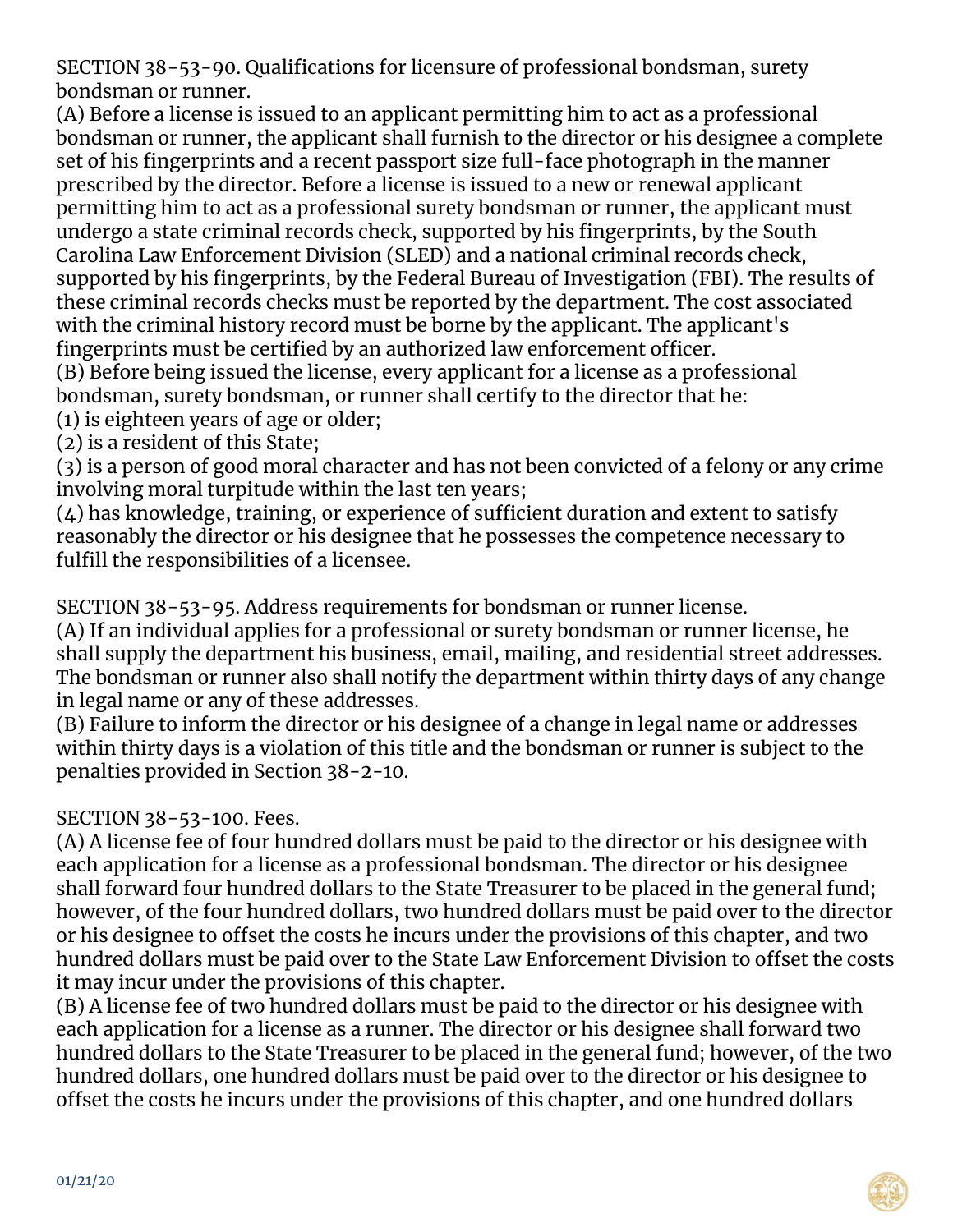SECTION 38-53-90. Qualifications for licensure of professional bondsman, surety bondsman or runner.

(A) Before a license is issued to an applicant permitting him to act as a professional bondsman or runner, the applicant shall furnish to the director or his designee a complete set of his fingerprints and a recent passport size full-face photograph in the manner prescribed by the director. Before a license is issued to a new or renewal applicant permitting him to act as a professional surety bondsman or runner, the applicant must undergo a state criminal records check, supported by his fingerprints, by the South Carolina Law Enforcement Division (SLED) and a national criminal records check, supported by his fingerprints, by the Federal Bureau of Investigation (FBI). The results of these criminal records checks must be reported by the department. The cost associated with the criminal history record must be borne by the applicant. The applicant's fingerprints must be certified by an authorized law enforcement officer. (B) Before being issued the license, every applicant for a license as a professional

bondsman, surety bondsman, or runner shall certify to the director that he:

- (1) is eighteen years of age or older;
- (2) is a resident of this State;

(3) is a person of good moral character and has not been convicted of a felony or any crime involving moral turpitude within the last ten years;

(4) has knowledge, training, or experience of sufficient duration and extent to satisfy reasonably the director or his designee that he possesses the competence necessary to fulfill the responsibilities of a licensee.

SECTION 38-53-95. Address requirements for bondsman or runner license.

(A) If an individual applies for a professional or surety bondsman or runner license, he shall supply the department his business, email, mailing, and residential street addresses. The bondsman or runner also shall notify the department within thirty days of any change in legal name or any of these addresses.

(B) Failure to inform the director or his designee of a change in legal name or addresses within thirty days is a violation of this title and the bondsman or runner is subject to the penalties provided in Section 38-2-10.

### SECTION 38-53-100. Fees.

(A) A license fee of four hundred dollars must be paid to the director or his designee with each application for a license as a professional bondsman. The director or his designee shall forward four hundred dollars to the State Treasurer to be placed in the general fund; however, of the four hundred dollars, two hundred dollars must be paid over to the director or his designee to offset the costs he incurs under the provisions of this chapter, and two hundred dollars must be paid over to the State Law Enforcement Division to offset the costs it may incur under the provisions of this chapter.

(B) A license fee of two hundred dollars must be paid to the director or his designee with each application for a license as a runner. The director or his designee shall forward two hundred dollars to the State Treasurer to be placed in the general fund; however, of the two hundred dollars, one hundred dollars must be paid over to the director or his designee to offset the costs he incurs under the provisions of this chapter, and one hundred dollars

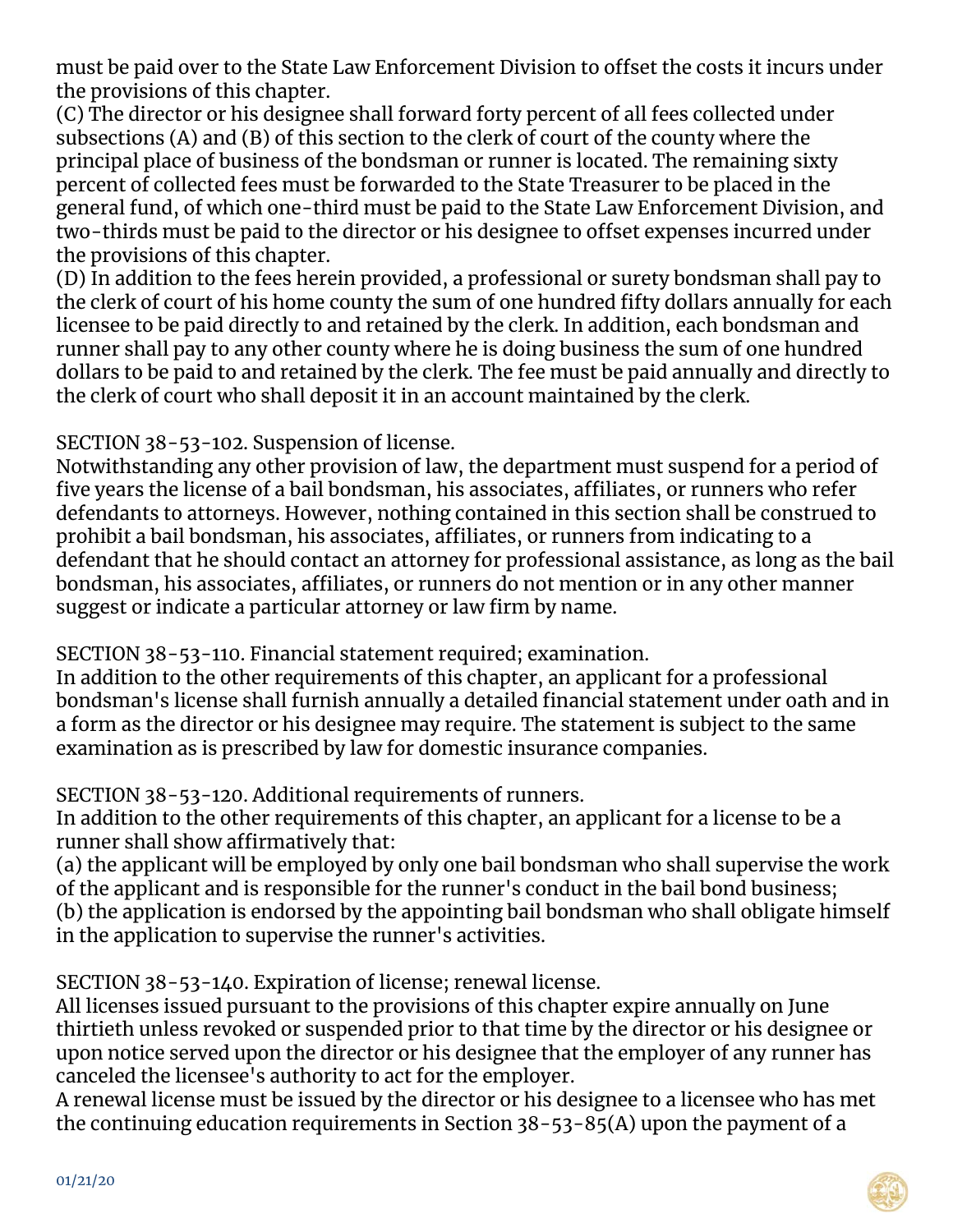must be paid over to the State Law Enforcement Division to offset the costs it incurs under the provisions of this chapter.

(C) The director or his designee shall forward forty percent of all fees collected under subsections (A) and (B) of this section to the clerk of court of the county where the principal place of business of the bondsman or runner is located. The remaining sixty percent of collected fees must be forwarded to the State Treasurer to be placed in the general fund, of which one-third must be paid to the State Law Enforcement Division, and two-thirds must be paid to the director or his designee to offset expenses incurred under the provisions of this chapter.

(D) In addition to the fees herein provided, a professional or surety bondsman shall pay to the clerk of court of his home county the sum of one hundred fifty dollars annually for each licensee to be paid directly to and retained by the clerk. In addition, each bondsman and runner shall pay to any other county where he is doing business the sum of one hundred dollars to be paid to and retained by the clerk. The fee must be paid annually and directly to the clerk of court who shall deposit it in an account maintained by the clerk.

SECTION 38-53-102. Suspension of license.

Notwithstanding any other provision of law, the department must suspend for a period of five years the license of a bail bondsman, his associates, affiliates, or runners who refer defendants to attorneys. However, nothing contained in this section shall be construed to prohibit a bail bondsman, his associates, affiliates, or runners from indicating to a defendant that he should contact an attorney for professional assistance, as long as the bail bondsman, his associates, affiliates, or runners do not mention or in any other manner suggest or indicate a particular attorney or law firm by name.

SECTION 38-53-110. Financial statement required; examination.

In addition to the other requirements of this chapter, an applicant for a professional bondsman's license shall furnish annually a detailed financial statement under oath and in a form as the director or his designee may require. The statement is subject to the same examination as is prescribed by law for domestic insurance companies.

SECTION 38-53-120. Additional requirements of runners.

In addition to the other requirements of this chapter, an applicant for a license to be a runner shall show affirmatively that:

(a) the applicant will be employed by only one bail bondsman who shall supervise the work of the applicant and is responsible for the runner's conduct in the bail bond business; (b) the application is endorsed by the appointing bail bondsman who shall obligate himself in the application to supervise the runner's activities.

SECTION 38-53-140. Expiration of license; renewal license.

All licenses issued pursuant to the provisions of this chapter expire annually on June thirtieth unless revoked or suspended prior to that time by the director or his designee or upon notice served upon the director or his designee that the employer of any runner has canceled the licensee's authority to act for the employer.

A renewal license must be issued by the director or his designee to a licensee who has met the continuing education requirements in Section 38-53-85(A) upon the payment of a

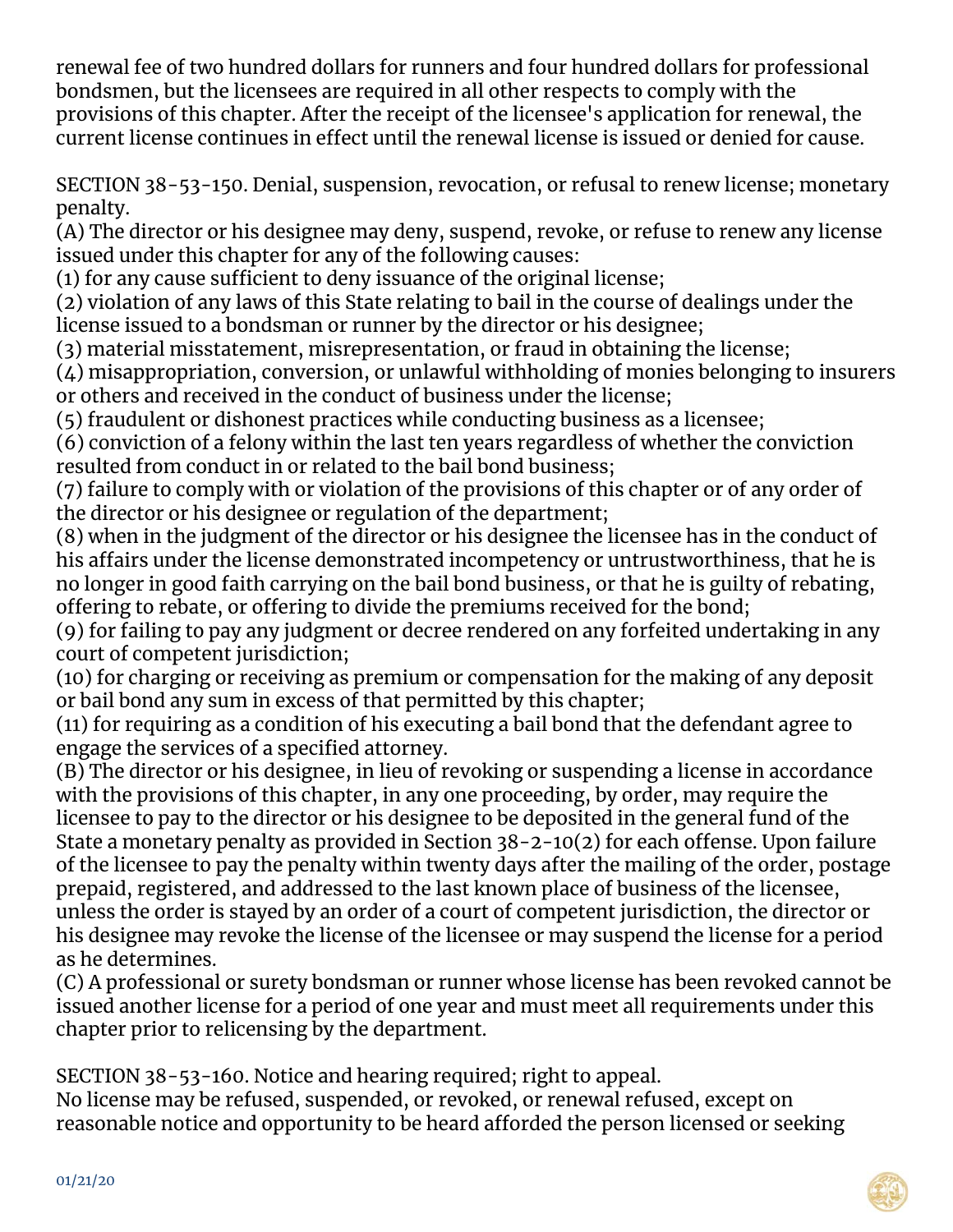renewal fee of two hundred dollars for runners and four hundred dollars for professional bondsmen, but the licensees are required in all other respects to comply with the provisions of this chapter. After the receipt of the licensee's application for renewal, the current license continues in effect until the renewal license is issued or denied for cause.

SECTION 38-53-150. Denial, suspension, revocation, or refusal to renew license; monetary penalty.

(A) The director or his designee may deny, suspend, revoke, or refuse to renew any license issued under this chapter for any of the following causes:

(1) for any cause sufficient to deny issuance of the original license;

(2) violation of any laws of this State relating to bail in the course of dealings under the license issued to a bondsman or runner by the director or his designee;

(3) material misstatement, misrepresentation, or fraud in obtaining the license;

 $(4)$  misappropriation, conversion, or unlawful withholding of monies belonging to insurers or others and received in the conduct of business under the license;

(5) fraudulent or dishonest practices while conducting business as a licensee;

(6) conviction of a felony within the last ten years regardless of whether the conviction resulted from conduct in or related to the bail bond business;

(7) failure to comply with or violation of the provisions of this chapter or of any order of the director or his designee or regulation of the department;

(8) when in the judgment of the director or his designee the licensee has in the conduct of his affairs under the license demonstrated incompetency or untrustworthiness, that he is no longer in good faith carrying on the bail bond business, or that he is guilty of rebating, offering to rebate, or offering to divide the premiums received for the bond;

(9) for failing to pay any judgment or decree rendered on any forfeited undertaking in any court of competent jurisdiction;

(10) for charging or receiving as premium or compensation for the making of any deposit or bail bond any sum in excess of that permitted by this chapter;

(11) for requiring as a condition of his executing a bail bond that the defendant agree to engage the services of a specified attorney.

(B) The director or his designee, in lieu of revoking or suspending a license in accordance with the provisions of this chapter, in any one proceeding, by order, may require the licensee to pay to the director or his designee to be deposited in the general fund of the State a monetary penalty as provided in Section 38-2-10(2) for each offense. Upon failure of the licensee to pay the penalty within twenty days after the mailing of the order, postage prepaid, registered, and addressed to the last known place of business of the licensee, unless the order is stayed by an order of a court of competent jurisdiction, the director or his designee may revoke the license of the licensee or may suspend the license for a period as he determines.

(C) A professional or surety bondsman or runner whose license has been revoked cannot be issued another license for a period of one year and must meet all requirements under this chapter prior to relicensing by the department.

SECTION 38-53-160. Notice and hearing required; right to appeal. No license may be refused, suspended, or revoked, or renewal refused, except on reasonable notice and opportunity to be heard afforded the person licensed or seeking

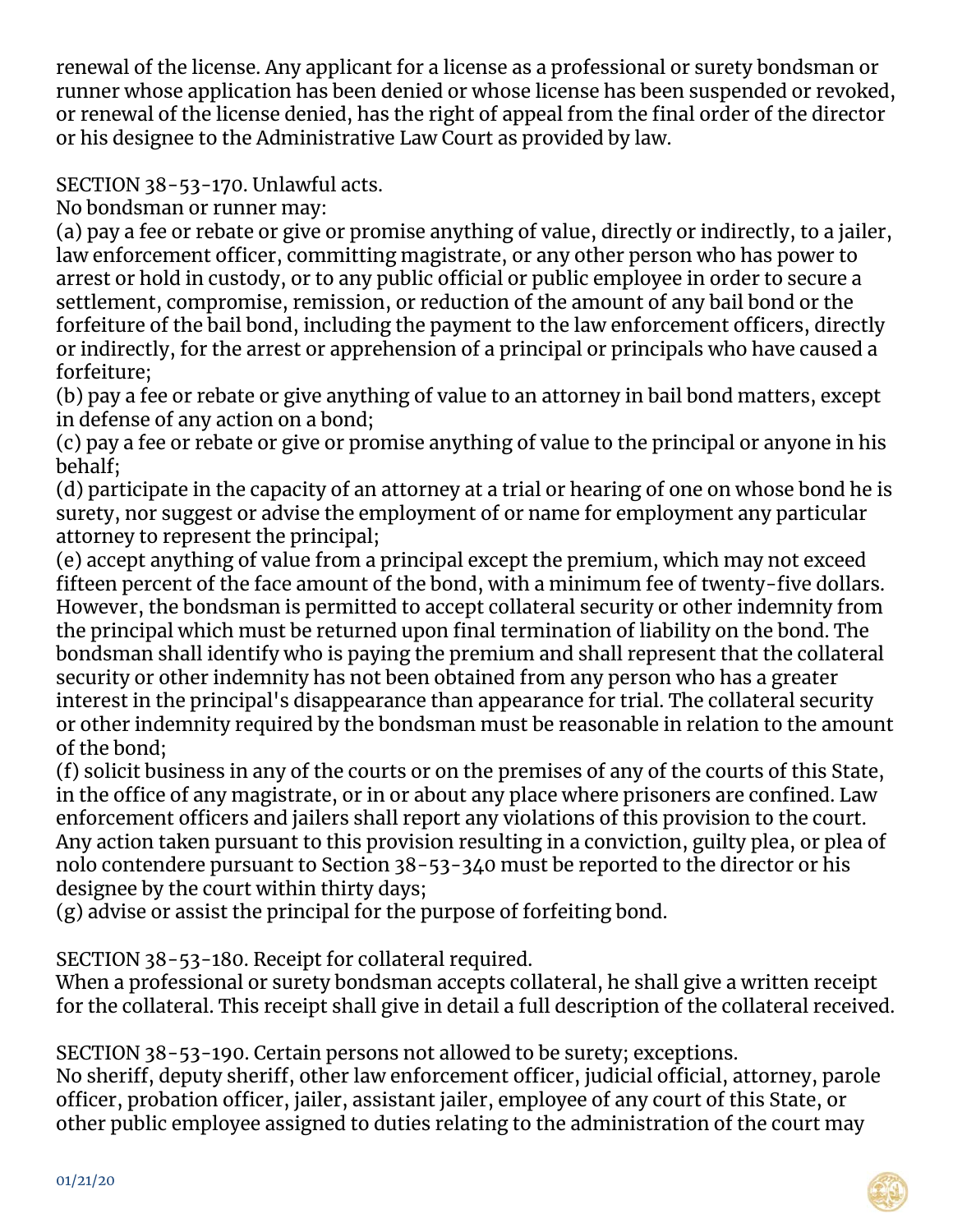renewal of the license. Any applicant for a license as a professional or surety bondsman or runner whose application has been denied or whose license has been suspended or revoked, or renewal of the license denied, has the right of appeal from the final order of the director or his designee to the Administrative Law Court as provided by law.

SECTION 38-53-170. Unlawful acts.

No bondsman or runner may:

(a) pay a fee or rebate or give or promise anything of value, directly or indirectly, to a jailer, law enforcement officer, committing magistrate, or any other person who has power to arrest or hold in custody, or to any public official or public employee in order to secure a settlement, compromise, remission, or reduction of the amount of any bail bond or the forfeiture of the bail bond, including the payment to the law enforcement officers, directly or indirectly, for the arrest or apprehension of a principal or principals who have caused a forfeiture;

(b) pay a fee or rebate or give anything of value to an attorney in bail bond matters, except in defense of any action on a bond;

(c) pay a fee or rebate or give or promise anything of value to the principal or anyone in his behalf;

(d) participate in the capacity of an attorney at a trial or hearing of one on whose bond he is surety, nor suggest or advise the employment of or name for employment any particular attorney to represent the principal;

(e) accept anything of value from a principal except the premium, which may not exceed fifteen percent of the face amount of the bond, with a minimum fee of twenty-five dollars. However, the bondsman is permitted to accept collateral security or other indemnity from the principal which must be returned upon final termination of liability on the bond. The bondsman shall identify who is paying the premium and shall represent that the collateral security or other indemnity has not been obtained from any person who has a greater interest in the principal's disappearance than appearance for trial. The collateral security or other indemnity required by the bondsman must be reasonable in relation to the amount of the bond;

(f) solicit business in any of the courts or on the premises of any of the courts of this State, in the office of any magistrate, or in or about any place where prisoners are confined. Law enforcement officers and jailers shall report any violations of this provision to the court. Any action taken pursuant to this provision resulting in a conviction, guilty plea, or plea of nolo contendere pursuant to Section 38-53-340 must be reported to the director or his designee by the court within thirty days;

(g) advise or assist the principal for the purpose of forfeiting bond.

SECTION 38-53-180. Receipt for collateral required.

When a professional or surety bondsman accepts collateral, he shall give a written receipt for the collateral. This receipt shall give in detail a full description of the collateral received.

SECTION 38-53-190. Certain persons not allowed to be surety; exceptions.

No sheriff, deputy sheriff, other law enforcement officer, judicial official, attorney, parole officer, probation officer, jailer, assistant jailer, employee of any court of this State, or other public employee assigned to duties relating to the administration of the court may

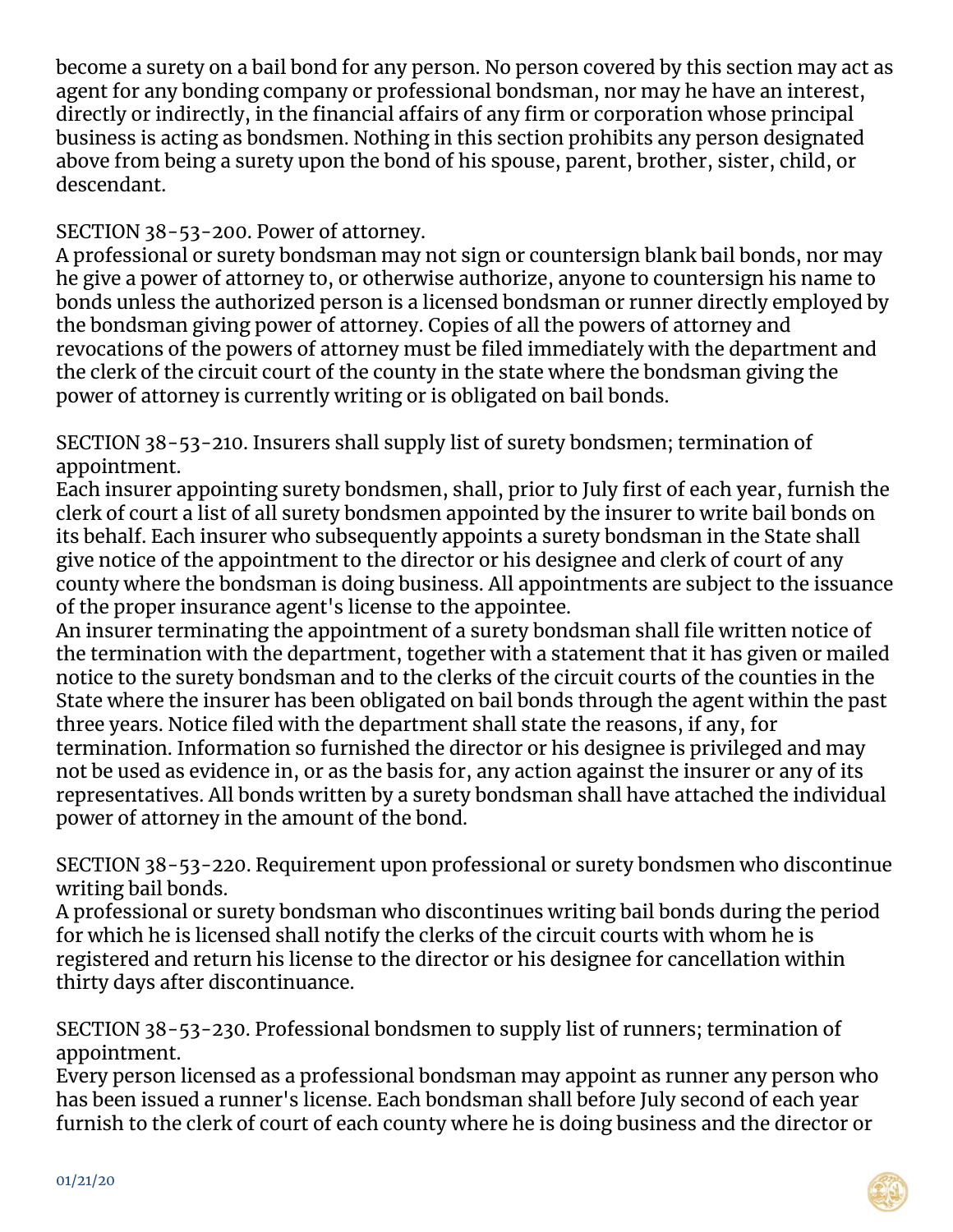become a surety on a bail bond for any person. No person covered by this section may act as agent for any bonding company or professional bondsman, nor may he have an interest, directly or indirectly, in the financial affairs of any firm or corporation whose principal business is acting as bondsmen. Nothing in this section prohibits any person designated above from being a surety upon the bond of his spouse, parent, brother, sister, child, or descendant.

SECTION 38-53-200. Power of attorney.

A professional or surety bondsman may not sign or countersign blank bail bonds, nor may he give a power of attorney to, or otherwise authorize, anyone to countersign his name to bonds unless the authorized person is a licensed bondsman or runner directly employed by the bondsman giving power of attorney. Copies of all the powers of attorney and revocations of the powers of attorney must be filed immediately with the department and the clerk of the circuit court of the county in the state where the bondsman giving the power of attorney is currently writing or is obligated on bail bonds.

SECTION 38-53-210. Insurers shall supply list of surety bondsmen; termination of appointment.

Each insurer appointing surety bondsmen, shall, prior to July first of each year, furnish the clerk of court a list of all surety bondsmen appointed by the insurer to write bail bonds on its behalf. Each insurer who subsequently appoints a surety bondsman in the State shall give notice of the appointment to the director or his designee and clerk of court of any county where the bondsman is doing business. All appointments are subject to the issuance of the proper insurance agent's license to the appointee.

An insurer terminating the appointment of a surety bondsman shall file written notice of the termination with the department, together with a statement that it has given or mailed notice to the surety bondsman and to the clerks of the circuit courts of the counties in the State where the insurer has been obligated on bail bonds through the agent within the past three years. Notice filed with the department shall state the reasons, if any, for termination. Information so furnished the director or his designee is privileged and may not be used as evidence in, or as the basis for, any action against the insurer or any of its representatives. All bonds written by a surety bondsman shall have attached the individual power of attorney in the amount of the bond.

SECTION 38-53-220. Requirement upon professional or surety bondsmen who discontinue writing bail bonds.

A professional or surety bondsman who discontinues writing bail bonds during the period for which he is licensed shall notify the clerks of the circuit courts with whom he is registered and return his license to the director or his designee for cancellation within thirty days after discontinuance.

SECTION 38-53-230. Professional bondsmen to supply list of runners; termination of appointment.

Every person licensed as a professional bondsman may appoint as runner any person who has been issued a runner's license. Each bondsman shall before July second of each year furnish to the clerk of court of each county where he is doing business and the director or

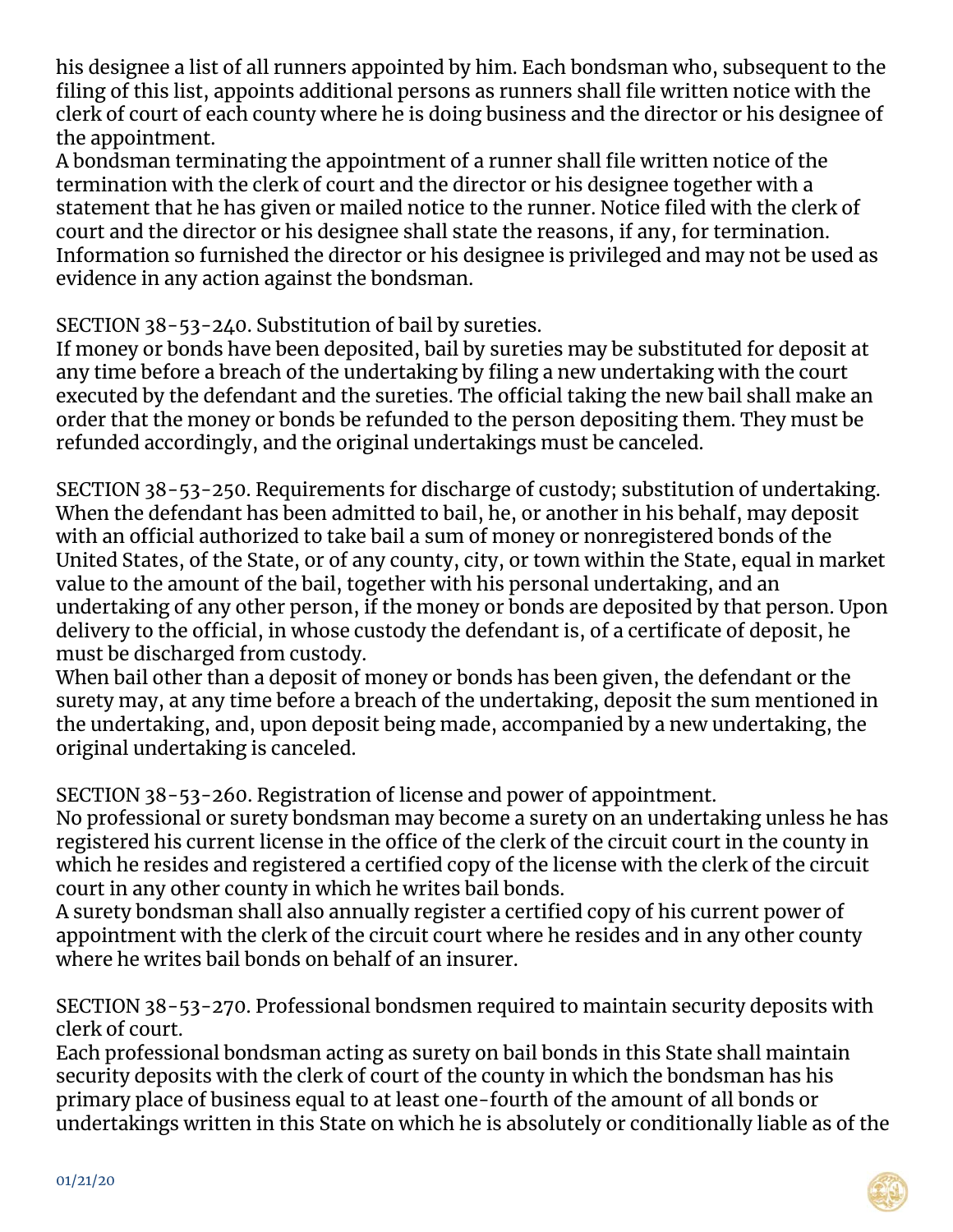his designee a list of all runners appointed by him. Each bondsman who, subsequent to the filing of this list, appoints additional persons as runners shall file written notice with the clerk of court of each county where he is doing business and the director or his designee of the appointment.

A bondsman terminating the appointment of a runner shall file written notice of the termination with the clerk of court and the director or his designee together with a statement that he has given or mailed notice to the runner. Notice filed with the clerk of court and the director or his designee shall state the reasons, if any, for termination. Information so furnished the director or his designee is privileged and may not be used as evidence in any action against the bondsman.

SECTION 38-53-240. Substitution of bail by sureties.

If money or bonds have been deposited, bail by sureties may be substituted for deposit at any time before a breach of the undertaking by filing a new undertaking with the court executed by the defendant and the sureties. The official taking the new bail shall make an order that the money or bonds be refunded to the person depositing them. They must be refunded accordingly, and the original undertakings must be canceled.

SECTION 38-53-250. Requirements for discharge of custody; substitution of undertaking. When the defendant has been admitted to bail, he, or another in his behalf, may deposit with an official authorized to take bail a sum of money or nonregistered bonds of the United States, of the State, or of any county, city, or town within the State, equal in market value to the amount of the bail, together with his personal undertaking, and an undertaking of any other person, if the money or bonds are deposited by that person. Upon delivery to the official, in whose custody the defendant is, of a certificate of deposit, he must be discharged from custody.

When bail other than a deposit of money or bonds has been given, the defendant or the surety may, at any time before a breach of the undertaking, deposit the sum mentioned in the undertaking, and, upon deposit being made, accompanied by a new undertaking, the original undertaking is canceled.

SECTION 38-53-260. Registration of license and power of appointment.

No professional or surety bondsman may become a surety on an undertaking unless he has registered his current license in the office of the clerk of the circuit court in the county in which he resides and registered a certified copy of the license with the clerk of the circuit court in any other county in which he writes bail bonds.

A surety bondsman shall also annually register a certified copy of his current power of appointment with the clerk of the circuit court where he resides and in any other county where he writes bail bonds on behalf of an insurer.

SECTION 38-53-270. Professional bondsmen required to maintain security deposits with clerk of court.

Each professional bondsman acting as surety on bail bonds in this State shall maintain security deposits with the clerk of court of the county in which the bondsman has his primary place of business equal to at least one-fourth of the amount of all bonds or undertakings written in this State on which he is absolutely or conditionally liable as of the

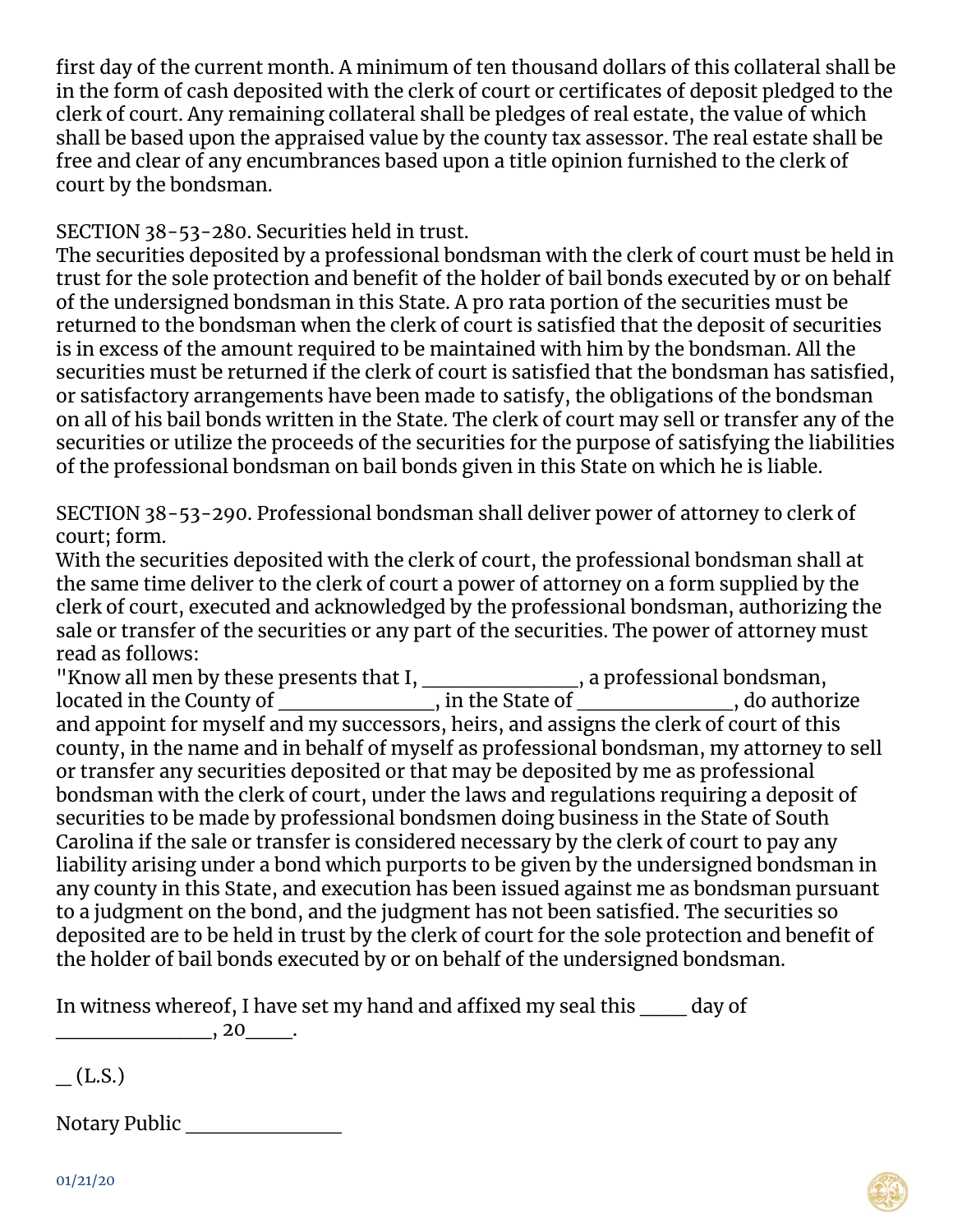first day of the current month. A minimum of ten thousand dollars of this collateral shall be in the form of cash deposited with the clerk of court or certificates of deposit pledged to the clerk of court. Any remaining collateral shall be pledges of real estate, the value of which shall be based upon the appraised value by the county tax assessor. The real estate shall be free and clear of any encumbrances based upon a title opinion furnished to the clerk of court by the bondsman.

SECTION 38-53-280. Securities held in trust.

The securities deposited by a professional bondsman with the clerk of court must be held in trust for the sole protection and benefit of the holder of bail bonds executed by or on behalf of the undersigned bondsman in this State. A pro rata portion of the securities must be returned to the bondsman when the clerk of court is satisfied that the deposit of securities is in excess of the amount required to be maintained with him by the bondsman. All the securities must be returned if the clerk of court is satisfied that the bondsman has satisfied, or satisfactory arrangements have been made to satisfy, the obligations of the bondsman on all of his bail bonds written in the State. The clerk of court may sell or transfer any of the securities or utilize the proceeds of the securities for the purpose of satisfying the liabilities of the professional bondsman on bail bonds given in this State on which he is liable.

SECTION 38-53-290. Professional bondsman shall deliver power of attorney to clerk of court; form.

With the securities deposited with the clerk of court, the professional bondsman shall at the same time deliver to the clerk of court a power of attorney on a form supplied by the clerk of court, executed and acknowledged by the professional bondsman, authorizing the sale or transfer of the securities or any part of the securities. The power of attorney must read as follows:

"Know all men by these presents that  $I, \_\_\_\_\_\_$ , a professional bondsman, located in the County of \_\_\_\_\_\_\_\_\_\_\_\_\_\_\_, in the State of \_\_\_\_\_\_\_\_\_\_\_\_\_\_\_, do authorize and appoint for myself and my successors, heirs, and assigns the clerk of court of this county, in the name and in behalf of myself as professional bondsman, my attorney to sell or transfer any securities deposited or that may be deposited by me as professional bondsman with the clerk of court, under the laws and regulations requiring a deposit of securities to be made by professional bondsmen doing business in the State of South Carolina if the sale or transfer is considered necessary by the clerk of court to pay any liability arising under a bond which purports to be given by the undersigned bondsman in any county in this State, and execution has been issued against me as bondsman pursuant to a judgment on the bond, and the judgment has not been satisfied. The securities so deposited are to be held in trust by the clerk of court for the sole protection and benefit of the holder of bail bonds executed by or on behalf of the undersigned bondsman.

In witness whereof, I have set my hand and affixed my seal this day of  $\overline{\phantom{a}}$ , 20 $\overline{\phantom{a}}$ .

 $(L.S.)$ 

Notary Public \_\_\_\_\_\_\_\_\_\_